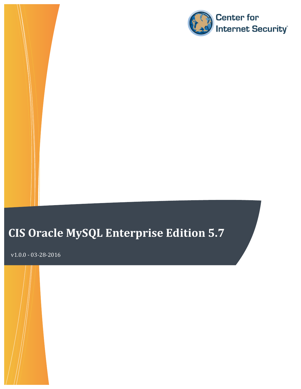

# **CIS Oracle MySQL Enterprise Edition 5.7**

**Benchmark** v1.0.0 - 03-28-2016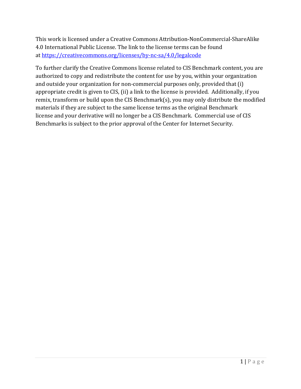This work is licensed under a Creative Commons Attribution-NonCommercial-ShareAlike 4.0 International Public License. The link to the license terms can be found at https://creativecommons.org/licenses/by-nc-sa/4.0/legalcode

To further clarify the Creative Commons license related to CIS Benchmark content, you are authorized to copy and redistribute the content for use by you, within your organization and outside your organization for non-commercial purposes only, provided that (i) appropriate credit is given to CIS, (ii) a link to the license is provided. Additionally, if you remix, transform or build upon the CIS Benchmark(s), you may only distribute the modified materials if they are subject to the same license terms as the original Benchmark license and your derivative will no longer be a CIS Benchmark. Commercial use of CIS Benchmarks is subject to the prior approval of the Center for Internet Security.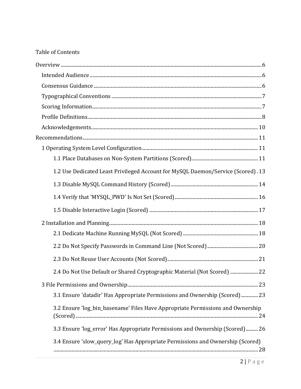#### **Table of Contents**

| 1.2 Use Dedicated Least Privileged Account for MySQL Daemon/Service (Scored). 13 |
|----------------------------------------------------------------------------------|
|                                                                                  |
|                                                                                  |
|                                                                                  |
|                                                                                  |
|                                                                                  |
|                                                                                  |
|                                                                                  |
| 2.4 Do Not Use Default or Shared Cryptographic Material (Not Scored)  22         |
|                                                                                  |
| 3.1 Ensure 'datadir' Has Appropriate Permissions and Ownership (Scored) 23       |
| 3.2 Ensure 'log_bin_basename' Files Have Appropriate Permissions and Ownership   |
| 3.3 Ensure 'log_error' Has Appropriate Permissions and Ownership (Scored)  26    |
| 3.4 Ensure 'slow_query_log' Has Appropriate Permissions and Ownership (Scored)   |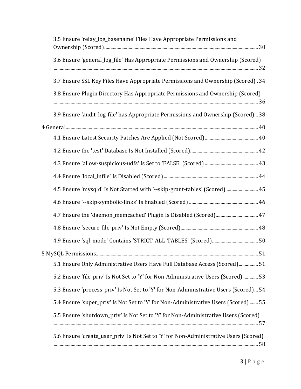| 3.5 Ensure 'relay_log_basename' Files Have Appropriate Permissions and                |
|---------------------------------------------------------------------------------------|
| 3.6 Ensure 'general_log_file' Has Appropriate Permissions and Ownership (Scored)      |
| 3.7 Ensure SSL Key Files Have Appropriate Permissions and Ownership (Scored). 34      |
| 3.8 Ensure Plugin Directory Has Appropriate Permissions and Ownership (Scored)        |
| 3.9 Ensure 'audit_log_file' has Appropriate Permissions and Ownership (Scored)38      |
|                                                                                       |
|                                                                                       |
|                                                                                       |
|                                                                                       |
|                                                                                       |
| 45 Ensure 'mysqld' Is Not Started with '--skip-grant-tables' (Scored)  45             |
|                                                                                       |
|                                                                                       |
|                                                                                       |
|                                                                                       |
|                                                                                       |
| 51 Ensure Only Administrative Users Have Full Database Access (Scored) 51             |
| 53. Ensure 'file_priv' Is Not Set to 'Y' for Non-Administrative Users (Scored)  53    |
| 5.3 Ensure 'process_priv' Is Not Set to 'Y' for Non-Administrative Users (Scored) 54  |
| 5.4 Ensure 'super_priv' Is Not Set to 'Y' for Non-Administrative Users (Scored) 55    |
| 5.5 Ensure 'shutdown_priv' Is Not Set to 'Y' for Non-Administrative Users (Scored)    |
| 5.6 Ensure 'create_user_priv' Is Not Set to 'Y' for Non-Administrative Users (Scored) |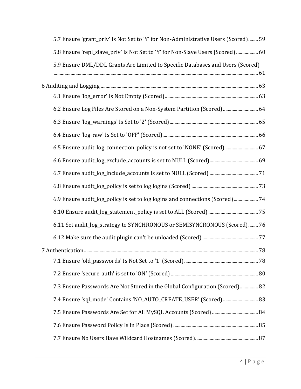| 59. 5.7 Ensure 'grant_priv' Is Not Set to 'Y' for Non-Administrative Users (Scored) 59 |  |
|----------------------------------------------------------------------------------------|--|
| 5.8 Ensure 'repl_slave_priv' Is Not Set to 'Y' for Non-Slave Users (Scored)  60        |  |
| 5.9 Ensure DML/DDL Grants Are Limited to Specific Databases and Users (Scored)         |  |
|                                                                                        |  |
|                                                                                        |  |
| 64 6.2 Ensure Log Files Are Stored on a Non-System Partition (Scored)  64              |  |
|                                                                                        |  |
|                                                                                        |  |
| 67 6.5 Ensure audit_log_connection_policy is not set to 'NONE' (Scored)  67            |  |
|                                                                                        |  |
|                                                                                        |  |
|                                                                                        |  |
| 6.9 Ensure audit_log_policy is set to log logins and connections (Scored)  74          |  |
|                                                                                        |  |
| 6.11 Set audit_log_strategy to SYNCHRONOUS or SEMISYNCRONOUS (Scored)  76              |  |
|                                                                                        |  |
|                                                                                        |  |
|                                                                                        |  |
|                                                                                        |  |
| 7.3 Ensure Passwords Are Not Stored in the Global Configuration (Scored) 82            |  |
| 7.4 Ensure 'sql_mode' Contains 'NO_AUTO_CREATE_USER' (Scored)  83                      |  |
|                                                                                        |  |
|                                                                                        |  |
|                                                                                        |  |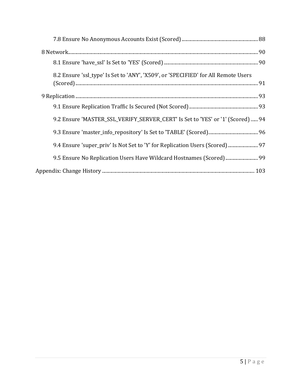| 8.2 Ensure 'ssl_type' Is Set to 'ANY', 'X509', or 'SPECIFIED' for All Remote Users |  |
|------------------------------------------------------------------------------------|--|
|                                                                                    |  |
|                                                                                    |  |
| 9.2 Ensure 'MASTER_SSL_VERIFY_SERVER_CERT' Is Set to 'YES' or '1' (Scored)  94     |  |
|                                                                                    |  |
| 9.4 Ensure 'super_priv' Is Not Set to 'Y' for Replication Users (Scored) 97        |  |
| 9.5 Ensure No Replication Users Have Wildcard Hostnames (Scored) 99                |  |
|                                                                                    |  |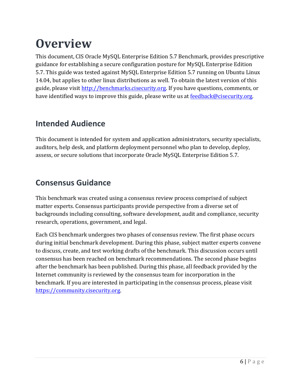# **Overview**

This document, CIS Oracle MySQL Enterprise Edition 5.7 Benchmark, provides prescriptive guidance for establishing a secure configuration posture for MySQL Enterprise Edition 5.7. This guide was tested against MySQL Enterprise Edition 5.7 running on Ubuntu Linux 14.04, but applies to other linux distributions as well. To obtain the latest version of this guide, please visit http://benchmarks.cisecurity.org. If you have questions, comments, or have identified ways to improve this guide, please write us at feedback@cisecurity.org.

### **Intended Audience**

This document is intended for system and application administrators, security specialists, auditors, help desk, and platform deployment personnel who plan to develop, deploy, assess, or secure solutions that incorporate Oracle MySQL Enterprise Edition 5.7.

## **Consensus Guidance**

This benchmark was created using a consensus review process comprised of subject matter experts. Consensus participants provide perspective from a diverse set of backgrounds including consulting, software development, audit and compliance, security research, operations, government, and legal.

Each CIS benchmark undergoes two phases of consensus review. The first phase occurs during initial benchmark development. During this phase, subject matter experts convene to discuss, create, and test working drafts of the benchmark. This discussion occurs until consensus has been reached on benchmark recommendations. The second phase begins after the benchmark has been published. During this phase, all feedback provided by the Internet community is reviewed by the consensus team for incorporation in the benchmark. If you are interested in participating in the consensus process, please visit https://community.cisecurity.org.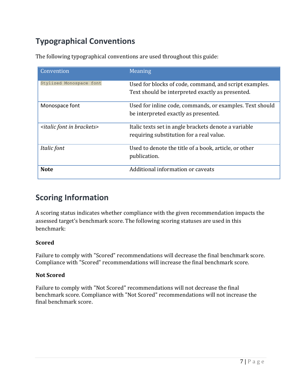# **Typographical Conventions**

The following typographical conventions are used throughout this guide:

| Convention                                  | Meaning                                                                                                    |
|---------------------------------------------|------------------------------------------------------------------------------------------------------------|
| Stylized Monospace font                     | Used for blocks of code, command, and script examples.<br>Text should be interpreted exactly as presented. |
| Monospace font                              | Used for inline code, commands, or examples. Text should<br>be interpreted exactly as presented.           |
| <italic brackets="" font="" in=""></italic> | Italic texts set in angle brackets denote a variable<br>requiring substitution for a real value.           |
| Italic font                                 | Used to denote the title of a book, article, or other<br>publication.                                      |
| <b>Note</b>                                 | Additional information or caveats                                                                          |

### **Scoring Information**

A scoring status indicates whether compliance with the given recommendation impacts the assessed target's benchmark score. The following scoring statuses are used in this benchmark:

#### **Scored**

Failure to comply with "Scored" recommendations will decrease the final benchmark score. Compliance with "Scored" recommendations will increase the final benchmark score.

#### **Not Scored**

Failure to comply with "Not Scored" recommendations will not decrease the final benchmark score. Compliance with "Not Scored" recommendations will not increase the final benchmark score.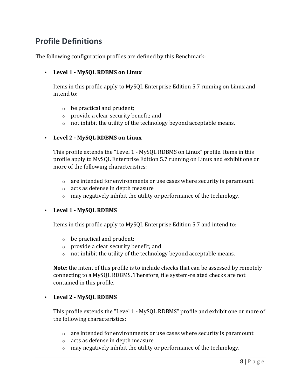### **Profile Definitions**

The following configuration profiles are defined by this Benchmark:

#### • **Level 1 - MySQL RDBMS on Linux**

Items in this profile apply to MySQL Enterprise Edition 5.7 running on Linux and intend to:

- $\circ$  be practical and prudent;
- $\circ$  provide a clear security benefit; and
- $\circ$  not inhibit the utility of the technology beyond acceptable means.

#### • **Level 2 - MySQL RDBMS on Linux**

This profile extends the "Level 1 - MySQL RDBMS on Linux" profile. Items in this profile apply to MySQL Enterprise Edition 5.7 running on Linux and exhibit one or more of the following characteristics:

- $\circ$  are intended for environments or use cases where security is paramount
- $\circ$  acts as defense in depth measure
- $\circ$  may negatively inhibit the utility or performance of the technology.

#### • **Level 1 - MySQL RDBMS**

Items in this profile apply to MySQL Enterprise Edition 5.7 and intend to:

- $\circ$  be practical and prudent;
- $\circ$  provide a clear security benefit; and
- $\circ$  not inhibit the utility of the technology beyond acceptable means.

**Note**: the intent of this profile is to include checks that can be assessed by remotely connecting to a MySQL RDBMS. Therefore, file system-related checks are not contained in this profile.

#### • **Level 2 - MySQL RDBMS**

This profile extends the "Level 1 - MySQL RDBMS" profile and exhibit one or more of the following characteristics:

- $\circ$  are intended for environments or use cases where security is paramount
- $\circ$  acts as defense in depth measure
- $\circ$  may negatively inhibit the utility or performance of the technology.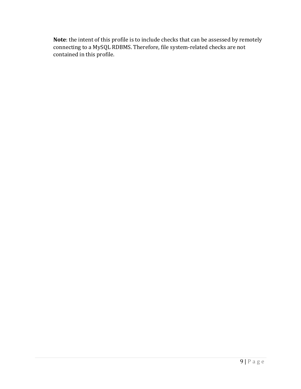**Note**: the intent of this profile is to include checks that can be assessed by remotely connecting to a MySQL RDBMS. Therefore, file system-related checks are not contained in this profile.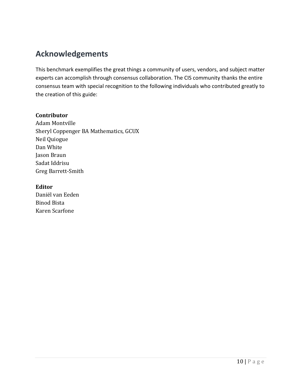### **Acknowledgements**

This benchmark exemplifies the great things a community of users, vendors, and subject matter experts can accomplish through consensus collaboration. The CIS community thanks the entire consensus team with special recognition to the following individuals who contributed greatly to the creation of this guide:

#### **Contributor**

Adam Montville Sheryl Coppenger BA Mathematics, GCUX Neil Quiogue Dan White Jason Braun Sadat Iddrisu Greg Barrett-Smith

#### **Editor**

Daniël van Eeden **Binod Bista** Karen Scarfone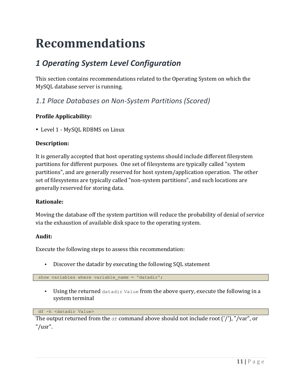# **Recommendations**

# *1 Operating System Level Configuration*

This section contains recommendations related to the Operating System on which the MySQL database server is running.

*1.1 Place Databases on Non-System Partitions (Scored)*

#### **Profile Applicability:**

• Level 1 - MySQL RDBMS on Linux

#### **Description:**

It is generally accepted that host operating systems should include different filesystem partitions for different purposes. One set of filesystems are typically called "system" partitions", and are generally reserved for host system/application operation. The other set of filesystems are typically called "non-system partitions", and such locations are generally reserved for storing data.

#### **Rationale:**

Moving the database off the system partition will reduce the probability of denial of service via the exhaustion of available disk space to the operating system.

#### **Audit:**

Execute the following steps to assess this recommendation:

• Discover the datadir by executing the following SQL statement

show variables where variable name = 'datadir';

• Using the returned datadir Value from the above query, execute the following in a system terminal

df -h <datadir Value>

The output returned from the  $df$  command above should not include root  $('')$ , "/var", or "/usr".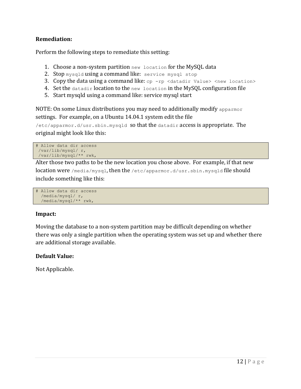#### **Remediation:**

Perform the following steps to remediate this setting:

- 1. Choose a non-system partition new location for the MySQL data
- 2. Stop mysqld using a command like: service mysql stop
- 3. Copy the data using a command like:  $cp -rp$  <datadir Value> <new location>
- 4. Set the datadir location to the new location in the MySQL configuration file
- 5. Start mysqld using a command like: service mysql start

NOTE: On some Linux distributions you may need to additionally modify apparmor settings. For example, on a Ubuntu 14.04.1 system edit the file

 $/$ etc/apparmor.d/usr.sbin.mysqld SO that the datadir access is appropriate. The original might look like this:

```
# Allow data dir access
/var/lib/mysql/ r,
/var/lib/mysql/** rwk,
```
Alter those two paths to be the new location you chose above. For example, if that new location were /media/mysql, then the /etc/apparmor.d/usr.sbin.mysqld file should include something like this:

```
# Allow data dir access
  /media/mysql/ r,
  /media/mysql/** rwk,
```
#### **Impact:**

Moving the database to a non-system partition may be difficult depending on whether there was only a single partition when the operating system was set up and whether there are additional storage available.

#### **Default Value:**

Not Applicable.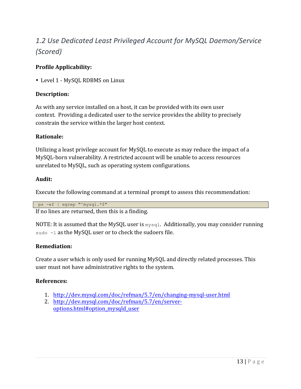# 1.2 Use Dedicated Least Privileged Account for MySQL Daemon/Service *(Scored)*

#### **Profile Applicability:**

• Level 1 - MySQL RDBMS on Linux

#### **Description:**

As with any service installed on a host, it can be provided with its own user context. Providing a dedicated user to the service provides the ability to precisely constrain the service within the larger host context.

#### **Rationale:**

Utilizing a least privilege account for MySQL to execute as may reduce the impact of a MySQL-born vulnerability. A restricted account will be unable to access resources unrelated to MySQL, such as operating system configurations.

#### **Audit:**

Execute the following command at a terminal prompt to assess this recommendation:

ps -ef | egrep "^mysql.\*\$"

If no lines are returned, then this is a finding.

NOTE: It is assumed that the MySQL user is  $mysq1$ . Additionally, you may consider running sudo -1 as the MySQL user or to check the sudoers file.

#### **Remediation:**

Create a user which is only used for running MySQL and directly related processes. This user must not have administrative rights to the system.

#### **References:**

- 1. http://dev.mysql.com/doc/refman/5.7/en/changing-mysql-user.html
- 2. http://dev.mysql.com/doc/refman/5.7/en/serveroptions.html#option\_mysqld\_user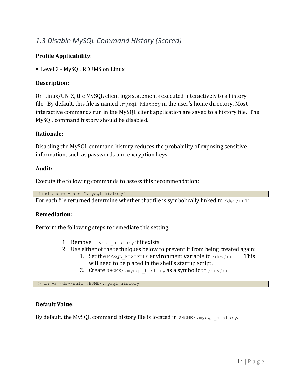### *1.3 Disable MySQL Command History (Scored)*

#### **Profile Applicability:**

• Level 2 - MySQL RDBMS on Linux

#### **Description:**

On Linux/UNIX, the MySQL client logs statements executed interactively to a history file. By default, this file is named  $mysql$  history in the user's home directory. Most interactive commands run in the MySQL client application are saved to a history file. The MySQL command history should be disabled.

#### **Rationale:**

Disabling the MySQL command history reduces the probability of exposing sensitive information, such as passwords and encryption keys.

#### **Audit:**

Execute the following commands to assess this recommendation:

find /home -name ".mysql\_history"

For each file returned determine whether that file is symbolically linked to  $/$ dev/null.

#### **Remediation:**

Perform the following steps to remediate this setting:

- 1. Remove  $mysql$  history if it exists.
- 2. Use either of the techniques below to prevent it from being created again:
	- 1. Set the MYSQL HISTFILE environment variable to  $/$ dev/null. This will need to be placed in the shell's startup script.
	- 2. Create  $$HOME/.mysql history$  as a symbolic to /dev/null.

> ln -s /dev/null \$HOME/.mysql\_history

#### **Default Value:**

By default, the MySQL command history file is located in  $\frac{HOME}{MNSQ}$  history.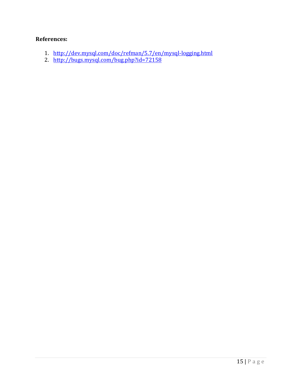#### **References:**

- 1. http://dev.mysql.com/doc/refman/5.7/en/mysql-logging.html
- 2. http://bugs.mysql.com/bug.php?id=72158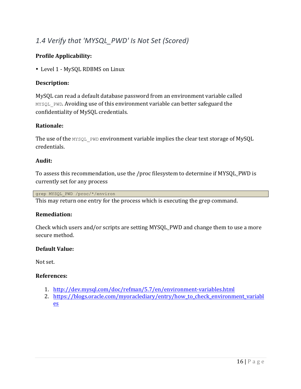### 1.4 Verify that 'MYSQL\_PWD' Is Not Set (Scored)

#### **Profile Applicability:**

• Level 1 - MySQL RDBMS on Linux

#### **Description:**

MySQL can read a default database password from an environment variable called MYSQL PWD. Avoiding use of this environment variable can better safeguard the confidentiality of MySQL credentials.

#### **Rationale:**

The use of the  $MYSQL$  PWD environment variable implies the clear text storage of MySQL credentials.

#### **Audit:**

To assess this recommendation, use the /proc filesystem to determine if MYSQL\_PWD is currently set for any process

grep MYSQL\_PWD /proc/\*/environ

This may return one entry for the process which is executing the grep command.

#### **Remediation:**

Check which users and/or scripts are setting MYSQL\_PWD and change them to use a more secure method.

#### **Default Value:**

Not set.

#### **References:**

- 1. http://dev.mysql.com/doc/refman/5.7/en/environment-variables.html
- 2. https://blogs.oracle.com/myoraclediary/entry/how\_to\_check\_environment\_variabl es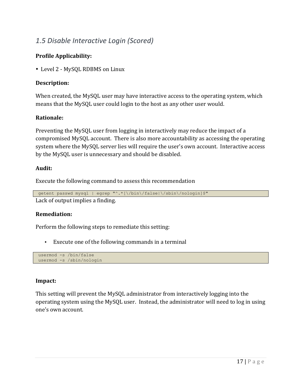### *1.5 Disable Interactive Login (Scored)*

#### **Profile Applicability:**

• Level 2 - MySQL RDBMS on Linux

#### **Description:**

When created, the MySQL user may have interactive access to the operating system, which means that the MySQL user could login to the host as any other user would.

#### **Rationale:**

Preventing the MySQL user from logging in interactively may reduce the impact of a compromised MySQL account. There is also more accountability as accessing the operating system where the MySQL server lies will require the user's own account. Interactive access by the MySQL user is unnecessary and should be disabled.

#### **Audit:**

Execute the following command to assess this recommendation

getent passwd mysql | egrep "^.\*[\/bin\/false|\/sbin\/nologin]\$" Lack of output implies a finding.

#### **Remediation:**

Perform the following steps to remediate this setting:

• Execute one of the following commands in a terminal

usermod -s /bin/false usermod -s /sbin/nologin

#### **Impact:**

This setting will prevent the MySQL administrator from interactively logging into the operating system using the MySQL user. Instead, the administrator will need to log in using one's own account.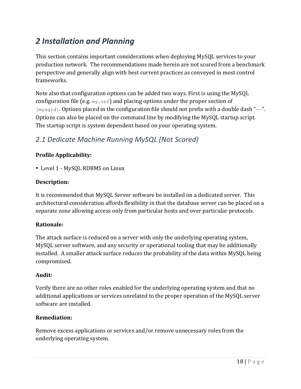# *2 Installation and Planning*

This section contains important considerations when deploying MySQL services to your production network. The recommendations made herein are not scored from a benchmark perspective and generally align with best current practices as conveyed in most control frameworks.

Note also that configuration options can be added two ways. First is using the MySQL configuration file (e.g.  $my \cdot cnf$ ) and placing options under the proper section of  $[mysq1d]$ . Options placed in the configuration file should not prefix with a double dash "--". Options can also be placed on the command line by modifying the MySQL startup script. The startup script is system dependent based on your operating system.

### *2.1 Dedicate Machine Running MySQL (Not Scored)*

#### **Profile Applicability:**

• Level 1 - MySQL RDBMS on Linux

#### **Description:**

It is recommended that MySQL Server software be installed on a dedicated server. This architectural consideration affords flexibility in that the database server can be placed on a separate zone allowing access only from particular hosts and over particular protocols.

#### **Rationale:**

The attack surface is reduced on a server with only the underlying operating system, MySQL server software, and any security or operational tooling that may be additionally installed. A smaller attack surface reduces the probability of the data within MySQL being compromised.

#### **Audit:**

Verify there are no other roles enabled for the underlying operating system and that no additional applications or services unrelated to the proper operation of the MySQL server software are installed.

#### **Remediation:**

Remove excess applications or services and/or remove unnecessary roles from the underlying operating system.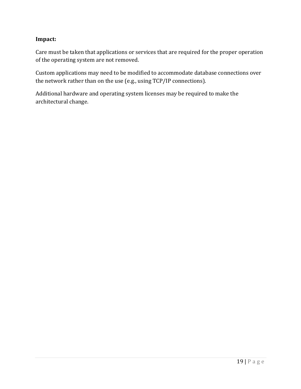#### **Impact:**

Care must be taken that applications or services that are required for the proper operation of the operating system are not removed.

Custom applications may need to be modified to accommodate database connections over the network rather than on the use  $(e.g., using TCP/IP connections)$ .

Additional hardware and operating system licenses may be required to make the architectural change.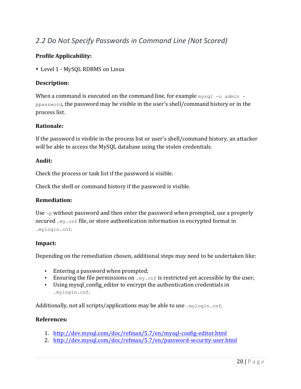### *2.2 Do Not Specify Passwords in Command Line (Not Scored)*

#### **Profile Applicability:**

• Level 1 - MySQL RDBMS on Linux

#### **Description:**

When a command is executed on the command line, for example  $mvsq1 -u$  admin ppassword, the password may be visible in the user's shell/command history or in the process list.

#### **Rationale:**

If the password is visible in the process list or user's shell/command history, an attacker will be able to access the MySQL database using the stolen credentials.

#### **Audit:**

Check the process or task list if the password is visible.

Check the shell or command history if the password is visible.

#### **Remediation:**

Use  $-p$  without password and then enter the password when prompted, use a properly secured  $\ldots$ <sub>my</sub>.  $\text{cnf}$  file, or store authentication information in encrypted format in .mylogin.cnf.

#### **Impact:**

Depending on the remediation chosen, additional steps may need to be undertaken like:

- Entering a password when prompted;
- Ensuring the file permissions on  $my$ . cnf is restricted yet accessible by the user;
- Using mysql config editor to encrypt the authentication credentials in .mylogin.cnf.

Additionally, not all scripts/applications may be able to use  $\text{mylogin.cnf.}$ 

#### **References:**

- 1. http://dev.mysql.com/doc/refman/5.7/en/mysql-config-editor.html
- 2. http://dev.mysql.com/doc/refman/5.7/en/password-security-user.html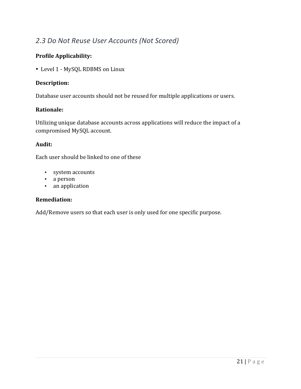### *2.3 Do Not Reuse User Accounts (Not Scored)*

#### **Profile Applicability:**

• Level 1 - MySQL RDBMS on Linux

#### **Description:**

Database user accounts should not be reused for multiple applications or users.

#### **Rationale:**

Utilizing unique database accounts across applications will reduce the impact of a compromised MySQL account.

#### **Audit:**

Each user should be linked to one of these

- system accounts
- a person
- an application

#### **Remediation:**

Add/Remove users so that each user is only used for one specific purpose.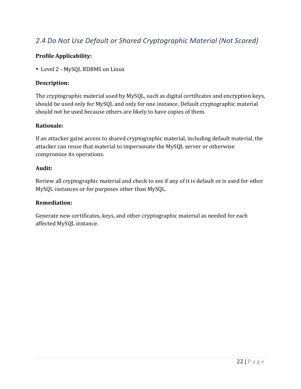### *2.4 Do Not Use Default or Shared Cryptographic Material (Not Scored)*

#### **Profile Applicability:**

• Level 2 - MySQL RDBMS on Linux

#### **Description:**

The cryptographic material used by MySQL, such as digital certificates and encryption keys, should be used only for MySQL and only for one instance. Default cryptographic material should not be used because others are likely to have copies of them.

#### **Rationale:**

If an attacker gains access to shared cryptographic material, including default material, the attacker can reuse that material to impersonate the MySQL server or otherwise compromise its operations.

#### **Audit:**

Review all cryptographic material and check to see if any of it is default or is used for other MySQL instances or for purposes other than MySQL.

#### **Remediation:**

Generate new certificates, keys, and other cryptographic material as needed for each affected MySQL instance.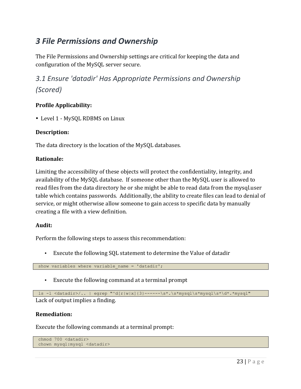## *3 File Permissions and Ownership*

The File Permissions and Ownership settings are critical for keeping the data and configuration of the MySQL server secure.

*3.1 Ensure 'datadir' Has Appropriate Permissions and Ownership (Scored)*

#### **Profile Applicability:**

• Level 1 - MySQL RDBMS on Linux

#### **Description:**

The data directory is the location of the MySQL databases.

#### **Rationale:**

Limiting the accessibility of these objects will protect the confidentiality, integrity, and availability of the MySQL database. If someone other than the MySQL user is allowed to read files from the data directory he or she might be able to read data from the mysql.user table which contains passwords. Additionally, the ability to create files can lead to denial of service, or might otherwise allow someone to gain access to specific data by manually creating a file with a view definition.

#### **Audit:**

Perform the following steps to assess this recommendation:

• Execute the following SQL statement to determine the Value of datadir

show variables where variable name = 'datadir';

• Execute the following command at a terminal prompt

```
ls -l <datadir>/.. | egrep "^d[r|w|x]{3}------\s*.\s*mysql\s*mysql\s*\d*.*mysql"
```
Lack of output implies a finding.

#### **Remediation:**

Execute the following commands at a terminal prompt:

```
chmod 700 <datadir>
chown mysql:mysql <datadir>
```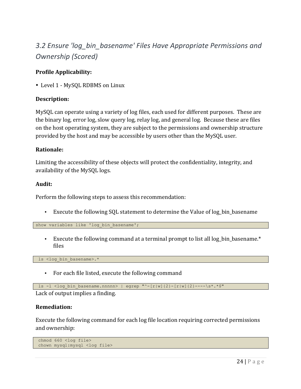## *3.2 Ensure 'log\_bin\_basename' Files Have Appropriate Permissions and Ownership (Scored)*

#### **Profile Applicability:**

• Level 1 - MySQL RDBMS on Linux

#### **Description:**

MySQL can operate using a variety of log files, each used for different purposes. These are the binary log, error log, slow query log, relay log, and general log. Because these are files on the host operating system, they are subject to the permissions and ownership structure provided by the host and may be accessible by users other than the MySQL user.

#### **Rationale:**

Limiting the accessibility of these objects will protect the confidentiality, integrity, and availability of the MySQL logs.

#### **Audit:**

Perform the following steps to assess this recommendation:

• Execute the following SQL statement to determine the Value of log\_bin\_basename

show variables like 'log bin basename';

• Execute the following command at a terminal prompt to list all log bin basename. $*$ files

ls <log bin basename>.\*

• For each file listed, execute the following command

```
1s -1 <log bin basename.nnnnn> | egrep "^-[r|w]{2}-[r|w]{2}----\s*.*$"
```
#### Lack of output implies a finding.

#### **Remediation:**

Execute the following command for each log file location requiring corrected permissions and ownership:

```
chmod 660 <log file>
chown mysql:mysql <log file>
```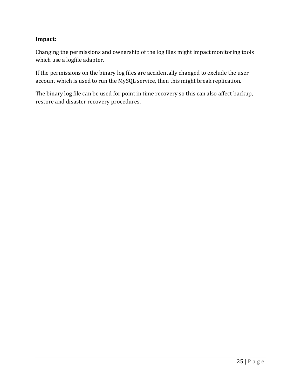#### **Impact:**

Changing the permissions and ownership of the log files might impact monitoring tools which use a logfile adapter.

If the permissions on the binary log files are accidentally changed to exclude the user account which is used to run the MySQL service, then this might break replication.

The binary log file can be used for point in time recovery so this can also affect backup, restore and disaster recovery procedures.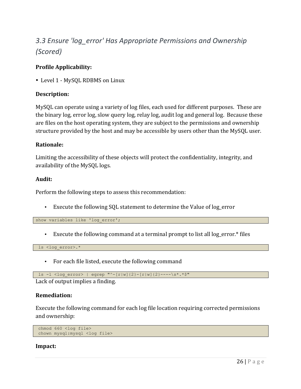## 3.3 Ensure 'log\_error' Has Appropriate Permissions and Ownership *(Scored)*

#### **Profile Applicability:**

• Level 1 - MySQL RDBMS on Linux

#### **Description:**

MySQL can operate using a variety of log files, each used for different purposes. These are the binary log, error log, slow query log, relay log, audit log and general log. Because these are files on the host operating system, they are subject to the permissions and ownership structure provided by the host and may be accessible by users other than the MySQL user.

#### **Rationale:**

Limiting the accessibility of these objects will protect the confidentiality, integrity, and availability of the MySQL logs.

#### **Audit:**

Perform the following steps to assess this recommendation:

• Execute the following SQL statement to determine the Value of log\_error

show variables like 'log error';

• Execute the following command at a terminal prompt to list all log\_error.\* files

ls <log\_error>.\*

• For each file listed, execute the following command

```
ls -l <log_error> | egrep "^-[r|w]{2}-[r|w]{2}----\s*.*$"
```
Lack of output implies a finding.

#### **Remediation:**

Execute the following command for each log file location requiring corrected permissions and ownership:

```
chmod 660 <log file>
chown mysql:mysql <log file>
```
#### **Impact:**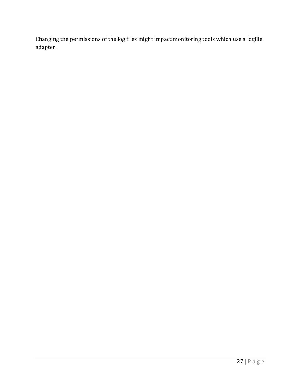Changing the permissions of the log files might impact monitoring tools which use a logfile adapter.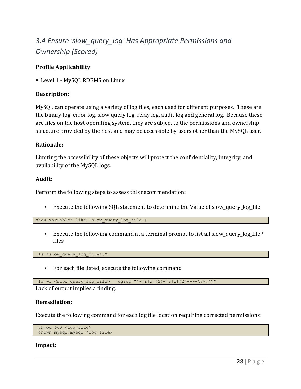# 3.4 Ensure 'slow query log' Has Appropriate Permissions and *Ownership (Scored)*

#### **Profile Applicability:**

• Level 1 - MySQL RDBMS on Linux

#### **Description:**

MySQL can operate using a variety of log files, each used for different purposes. These are the binary log, error log, slow query log, relay log, audit log and general log. Because these are files on the host operating system, they are subject to the permissions and ownership structure provided by the host and may be accessible by users other than the MySQL user.

#### **Rationale:**

Limiting the accessibility of these objects will protect the confidentiality, integrity, and availability of the MySQL logs.

#### **Audit:**

Perform the following steps to assess this recommendation:

• Execute the following SQL statement to determine the Value of slow\_query\_log\_file

show variables like 'slow query log file';

• Execute the following command at a terminal prompt to list all slow\_query\_log\_file. $*$ files

ls <slow query log file>.\*

• For each file listed, execute the following command

1s -1 <slow query log file> | egrep "^-[r|w]{2}-[r|w]{2}----\s\*.\*\$"

Lack of output implies a finding.

#### **Remediation:**

Execute the following command for each log file location requiring corrected permissions:

```
chmod 660 <log file>
chown mysql:mysql <log file>
```
#### **Impact:**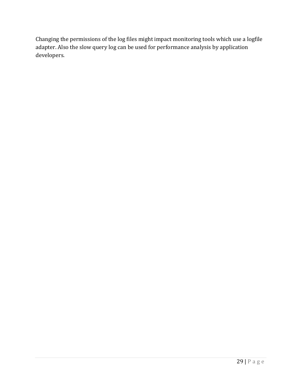Changing the permissions of the log files might impact monitoring tools which use a logfile adapter. Also the slow query log can be used for performance analysis by application developers.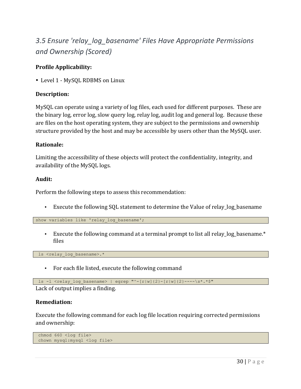## **3.5** Ensure 'relay log basename' Files Have Appropriate Permissions *and Ownership (Scored)*

#### **Profile Applicability:**

• Level 1 - MySQL RDBMS on Linux

#### **Description:**

MySQL can operate using a variety of log files, each used for different purposes. These are the binary log, error log, slow query log, relay log, audit log and general log. Because these are files on the host operating system, they are subject to the permissions and ownership structure provided by the host and may be accessible by users other than the MySQL user.

#### **Rationale:**

Limiting the accessibility of these objects will protect the confidentiality, integrity, and availability of the MySQL logs.

#### **Audit:**

Perform the following steps to assess this recommendation:

• Execute the following SQL statement to determine the Value of relay\_log\_basename

show variables like 'relay log basename';

• Execute the following command at a terminal prompt to list all relay\_log\_basename. $*$ files

ls <relay log basename>.\*

• For each file listed, execute the following command

ls -1 <relay log basename> | egrep "^-[r|w]{2}-[r|w]{2}----\s\*.\*\$"

Lack of output implies a finding.

#### **Remediation:**

Execute the following command for each log file location requiring corrected permissions and ownership:

```
chmod 660 <log file>
chown mysql:mysql <log file>
```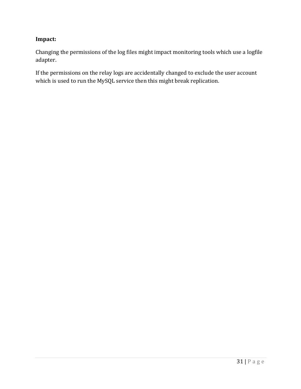#### **Impact:**

Changing the permissions of the log files might impact monitoring tools which use a logfile adapter.

If the permissions on the relay logs are accidentally changed to exclude the user account which is used to run the MySQL service then this might break replication.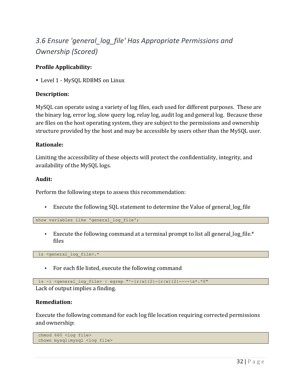# *3.6 Ensure 'general\_log\_file' Has Appropriate Permissions and Ownership (Scored)*

#### **Profile Applicability:**

• Level 1 - MySQL RDBMS on Linux

#### **Description:**

MySQL can operate using a variety of log files, each used for different purposes. These are the binary log, error log, slow query log, relay log, audit log and general log. Because these are files on the host operating system, they are subject to the permissions and ownership structure provided by the host and may be accessible by users other than the MySQL user.

#### **Rationale:**

Limiting the accessibility of these objects will protect the confidentiality, integrity, and availability of the MySQL logs.

#### **Audit:**

Perform the following steps to assess this recommendation:

• Execute the following SQL statement to determine the Value of general\_log\_file

show variables like 'general log file';

• Execute the following command at a terminal prompt to list all general  $log_f$  file.\* files

ls <general\_log\_file>.\*

• For each file listed, execute the following command

1s -1 <general log file> | egrep "^-[r|w]{2}-[r|w]{2}----\s\*.\*\$"

Lack of output implies a finding.

#### **Remediation:**

Execute the following command for each log file location requiring corrected permissions and ownership:

```
chmod 660 <log file>
chown mysql:mysql <log file>
```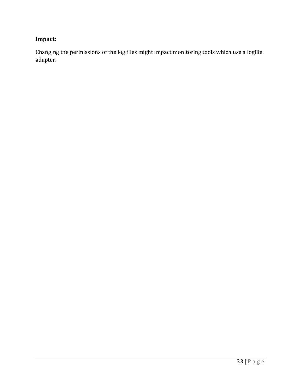### **Impact:**

Changing the permissions of the log files might impact monitoring tools which use a logfile adapter.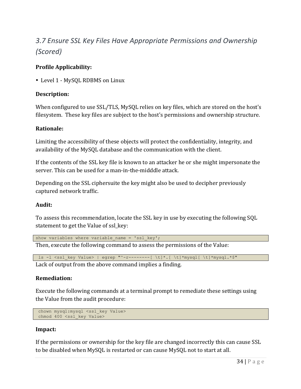# *3.7 Ensure SSL Key Files Have Appropriate Permissions and Ownership (Scored)*

#### **Profile Applicability:**

• Level 1 - MySOL RDBMS on Linux

#### **Description:**

When configured to use SSL/TLS, MySQL relies on key files, which are stored on the host's filesystem. These key files are subject to the host's permissions and ownership structure.

#### **Rationale:**

Limiting the accessibility of these objects will protect the confidentiality, integrity, and availability of the MySQL database and the communication with the client.

If the contents of the SSL key file is known to an attacker he or she might impersonate the server. This can be used for a man-in-the-midddle attack.

Depending on the SSL ciphersuite the key might also be used to decipher previously captured network traffic.

#### **Audit:**

To assess this recommendation, locate the SSL key in use by executing the following SQL statement to get the Value of ssl key:

```
show variables where variable name = 'ssl key';
```
Then, execute the following command to assess the permissions of the Value:

```
ls -1 <ssl key Value> | egrep "^-r--------[ \t]*.[ \t]*mysql[ \t]*mysql.*$"
```
Lack of output from the above command implies a finding.

#### **Remediation:**

Execute the following commands at a terminal prompt to remediate these settings using the Value from the audit procedure:

```
chown mysql:mysql <ssl_key Value>
chmod 400 <ssl key Value>
```
#### **Impact:**

If the permissions or ownership for the key file are changed incorrectly this can cause SSL to be disabled when MySQL is restarted or can cause MySQL not to start at all.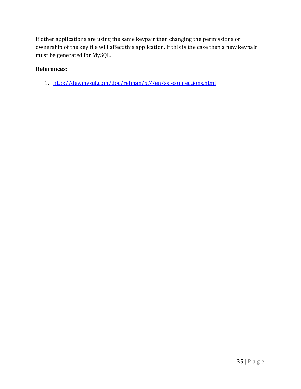If other applications are using the same keypair then changing the permissions or ownership of the key file will affect this application. If this is the case then a new keypair must be generated for MySQL.

#### **References:**

1. http://dev.mysql.com/doc/refman/5.7/en/ssl-connections.html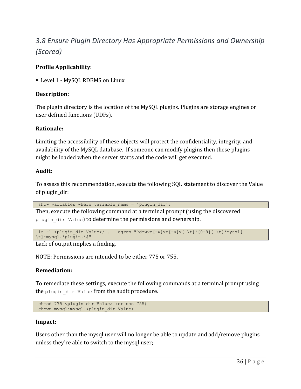# *3.8 Ensure Plugin Directory Has Appropriate Permissions and Ownership (Scored)*

# **Profile Applicability:**

• Level 1 - MySOL RDBMS on Linux

# **Description:**

The plugin directory is the location of the MySQL plugins. Plugins are storage engines or user defined functions (UDFs).

# **Rationale:**

Limiting the accessibility of these objects will protect the confidentiality, integrity, and availability of the MySQL database. If someone can modify plugins then these plugins might be loaded when the server starts and the code will get executed.

# **Audit:**

To assess this recommendation, execute the following SQL statement to discover the Value of plugin dir:

show variables where variable name = 'plugin dir';

Then, execute the following command at a terminal prompt (using the discovered plugin dir Value) to determine the permissions and ownership.

```
ls -l <plugin_dir Value>/.. | egrep "^drwxr[-w]xr[-w]x[ \t]*[0-9][ \t]*mysql[ 
\t]*mysql.*plugin.*$"
```
Lack of output implies a finding.

NOTE: Permissions are intended to be either 775 or 755.

# **Remediation:**

To remediate these settings, execute the following commands at a terminal prompt using the plugin dir Value from the audit procedure.

```
chmod 775 <plugin dir Value> (or use 755)
chown mysql:mysql <plugin dir Value>
```
## **Impact:**

Users other than the mysql user will no longer be able to update and add/remove plugins unless they're able to switch to the mysql user;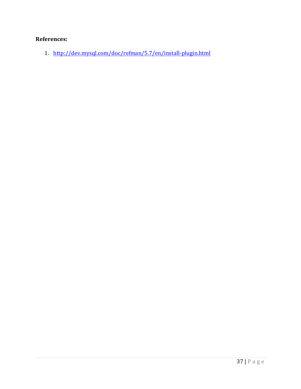# **References:**

1. http://dev.mysql.com/doc/refman/5.7/en/install-plugin.html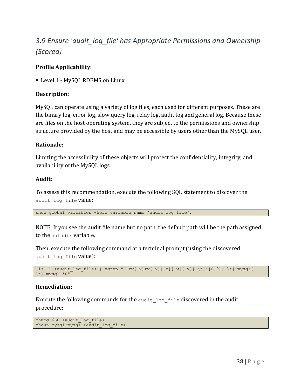# 3.9 Ensure 'audit\_log\_file' has Appropriate Permissions and Ownership *(Scored)*

# **Profile Applicability:**

• Level 1 - MySOL RDBMS on Linux

# **Description:**

MySQL can operate using a variety of log files, each used for different purposes. These are the binary log, error log, slow query log, relay log, audit log and general log. Because these are files on the host operating system, they are subject to the permissions and ownership structure provided by the host and may be accessible by users other than the MySQL user.

# **Rationale:**

Limiting the accessibility of these objects will protect the confidentiality, integrity, and availability of the MySQL logs.

# **Audit:**

To assess this recommendation, execute the following SQL statement to discover the audit log file value:

show global variables where variable name='audit log file';

NOTE: If you see the audit file name but no path, the default path will be the path assigned to the datadir variable.

Then, execute the following command at a terminal prompt (using the discovered audit log file value):

```
ls -1 <audit log file> | egrep "^-rw[-x]rw[-x][-r][-w][-x][ \t]*[0-9][ \t]*mysql[
\t]*mysql.*$"
```
# **Remediation:**

Execute the following commands for the audit  $log$  file discovered in the audit procedure:

```
chmod 660 <audit log file>
chown mysql:mysql <audit log file>
```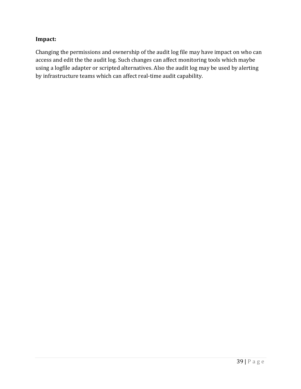# **Impact:**

Changing the permissions and ownership of the audit log file may have impact on who can access and edit the the audit log. Such changes can affect monitoring tools which maybe using a logfile adapter or scripted alternatives. Also the audit log may be used by alerting by infrastructure teams which can affect real-time audit capability.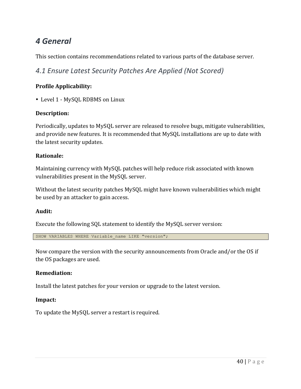# *4 General*

This section contains recommendations related to various parts of the database server.

*4.1 Ensure Latest Security Patches Are Applied (Not Scored)*

# **Profile Applicability:**

• Level 1 - MySQL RDBMS on Linux

# **Description:**

Periodically, updates to MySQL server are released to resolve bugs, mitigate vulnerabilities, and provide new features. It is recommended that MySQL installations are up to date with the latest security updates.

# **Rationale:**

Maintaining currency with MySQL patches will help reduce risk associated with known vulnerabilities present in the MySQL server.

Without the latest security patches MySQL might have known vulnerabilities which might be used by an attacker to gain access.

# **Audit:**

Execute the following SQL statement to identify the MySQL server version:

SHOW VARIABLES WHERE Variable name LIKE "version";

Now compare the version with the security announcements from Oracle and/or the OS if the OS packages are used.

# **Remediation:**

Install the latest patches for your version or upgrade to the latest version.

## **Impact:**

To update the MySQL server a restart is required.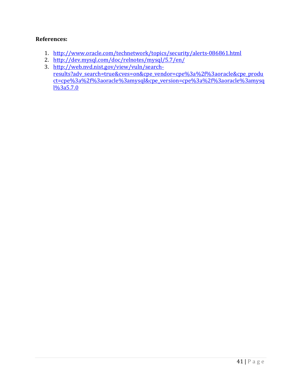- 1. http://www.oracle.com/technetwork/topics/security/alerts-086861.html
- 2. http://dev.mysql.com/doc/relnotes/mysql/5.7/en/
- 3. http://web.nvd.nist.gov/view/vuln/searchresults?adv\_search=true&cves=on&cpe\_vendor=cpe%3a%2f%3aoracle&cpe\_produ ct=cpe%3a%2f%3aoracle%3amysql&cpe\_version=cpe%3a%2f%3aoracle%3amysq l%3a5.7.0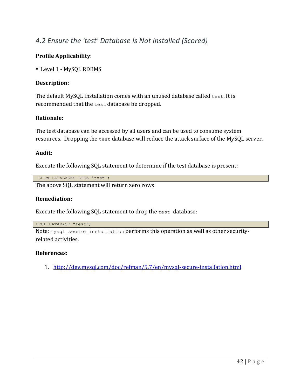# *4.2 Ensure the 'test' Database Is Not Installed (Scored)*

# **Profile Applicability:**

• Level 1 - MySQL RDBMS

# **Description:**

The default MySQL installation comes with an unused database called test. It is recommended that the test database be dropped.

# **Rationale:**

The test database can be accessed by all users and can be used to consume system resources. Dropping the  $test$  database will reduce the attack surface of the MySQL server.

## **Audit:**

Execute the following SQL statement to determine if the test database is present:

```
SHOW DATABASES LIKE 'test';
The above SQL statement will return zero rows
```
## **Remediation:**

Execute the following SQL statement to drop the  $test$  database:

DROP DATABASE "test";

Note: mysql secure installation performs this operation as well as other securityrelated activities.

## **References:**

1. http://dev.mysql.com/doc/refman/5.7/en/mysql-secure-installation.html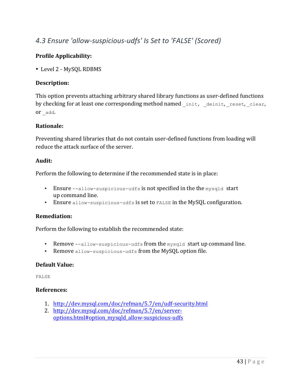# 4.3 Ensure 'allow-suspicious-udfs' Is Set to 'FALSE' (Scored)

# **Profile Applicability:**

• Level 2 - MySOL RDBMS

# **Description:**

This option prevents attaching arbitrary shared library functions as user-defined functions by checking for at least one corresponding method named init, deinit, reset, clear, or \_add.

# **Rationale:**

Preventing shared libraries that do not contain user-defined functions from loading will reduce the attack surface of the server.

## **Audit:**

Perform the following to determine if the recommended state is in place:

- Ensure  $--$ allow-suspicious-udfs is not specified in the the mysqld start up command line.
- Ensure allow-suspicious-udfs is set to FALSE in the MySQL configuration.

## **Remediation:**

Perform the following to establish the recommended state:

- Remove  $-$ -allow-suspicious-udfs from the mysqld start up command line.
- Remove allow-suspicious-udfs from the MySQL option file.

## **Default Value:**

FALSE

- 1. http://dev.mysql.com/doc/refman/5.7/en/udf-security.html
- 2. http://dev.mysql.com/doc/refman/5.7/en/serveroptions.html#option\_mysqld\_allow-suspicious-udfs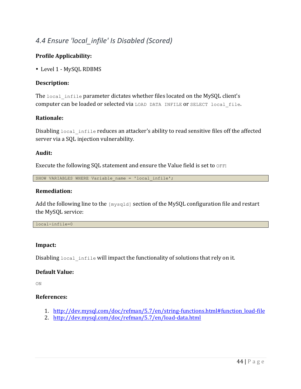# *4.4 Ensure 'local\_infile' Is Disabled (Scored)*

# **Profile Applicability:**

• Level 1 - MySQL RDBMS

# **Description:**

The local infile parameter dictates whether files located on the MySQL client's computer can be loaded or selected via LOAD DATA INFILE Or SELECT local file.

# **Rationale:**

Disabling local infile reduces an attacker's ability to read sensitive files off the affected server via a SQL injection vulnerability.

## **Audit:**

Execute the following SQL statement and ensure the Value field is set to  $\circ$ FF:

SHOW VARIABLES WHERE Variable name = 'local infile';

#### **Remediation:**

Add the following line to the  $[mysq1d]$  section of the MySQL configuration file and restart the MySQL service:

local-infile=0

## **Impact:**

Disabling local infile will impact the functionality of solutions that rely on it.

## **Default Value:**

ON

- 1. http://dev.mysql.com/doc/refman/5.7/en/string-functions.html#function\_load-file
- 2. http://dev.mysql.com/doc/refman/5.7/en/load-data.html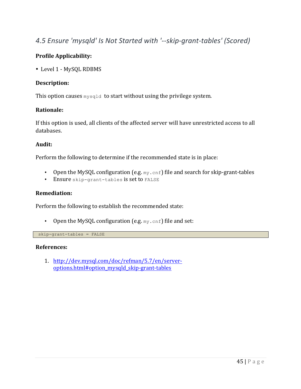# 4.5 Ensure 'mysqld' Is Not Started with '--skip-grant-tables' (Scored)

# **Profile Applicability:**

• Level 1 - MySQL RDBMS

## **Description:**

This option causes  $m\nu$ sqld to start without using the privilege system.

#### **Rationale:**

If this option is used, all clients of the affected server will have unrestricted access to all databases.

#### **Audit:**

Perform the following to determine if the recommended state is in place:

- Open the MySQL configuration (e.g.  $my$ . cnf) file and search for skip-grant-tables
- Ensure skip-grant-tables is set to FALSE

## **Remediation:**

Perform the following to establish the recommended state:

• Open the MySQL configuration (e.g.  $my \cdot cnf$ ) file and set:

skip-grant-tables = FALSE

#### **References:**

1. http://dev.mysql.com/doc/refman/5.7/en/serveroptions.html#option\_mysqld\_skip-grant-tables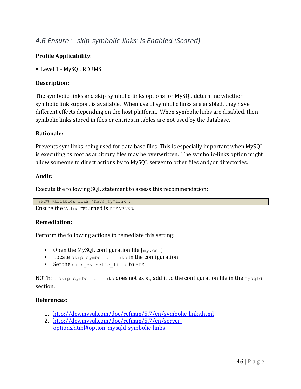# *4.6 Ensure '--skip-symbolic-links' Is Enabled (Scored)*

# **Profile Applicability:**

• Level 1 - MySOL RDBMS

# **Description:**

The symbolic-links and skip-symbolic-links options for MySQL determine whether symbolic link support is available. When use of symbolic links are enabled, they have different effects depending on the host platform. When symbolic links are disabled, then symbolic links stored in files or entries in tables are not used by the database.

# **Rationale:**

Prevents sym links being used for data base files. This is especially important when MySQL is executing as root as arbitrary files may be overwritten. The symbolic-links option might allow someone to direct actions by to MySQL server to other files and/or directories.

## **Audit:**

Execute the following SQL statement to assess this recommendation:

SHOW variables LIKE 'have symlink';

Ensure the value returned is DISABLED.

## **Remediation:**

Perform the following actions to remediate this setting:

- Open the MySQL configuration file  $(my, cnf)$
- Locate skip symbolic links in the configuration
- Set the skip symbolic links to YES

NOTE: If skip symbolic links does not exist, add it to the configuration file in the mysqld section.

- 1. http://dev.mysql.com/doc/refman/5.7/en/symbolic-links.html
- 2. http://dev.mysql.com/doc/refman/5.7/en/serveroptions.html#option\_mysqld\_symbolic-links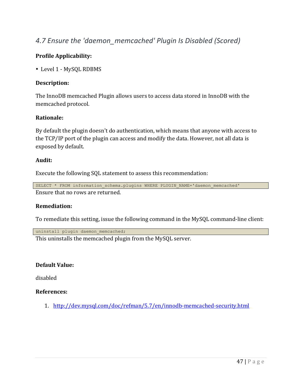# 4.7 Ensure the 'daemon\_memcached' Plugin Is Disabled (Scored)

# **Profile Applicability:**

• Level 1 - MySQL RDBMS

## **Description:**

The InnoDB memcached Plugin allows users to access data stored in InnoDB with the memcached protocol.

## **Rationale:**

By default the plugin doesn't do authentication, which means that anyone with access to the TCP/IP port of the plugin can access and modify the data. However, not all data is exposed by default.

#### **Audit:**

Execute the following SQL statement to assess this recommendation:

```
SELECT * FROM information_schema.plugins WHERE PLUGIN NAME='daemon memcached'
Ensure that no rows are returned.
```
# **Remediation:**

To remediate this setting, issue the following command in the MySQL command-line client:

uninstall plugin daemon memcached;

This uninstalls the memcached plugin from the MySQL server.

## **Default Value:**

disabled

## **References:**

1. http://dev.mysql.com/doc/refman/5.7/en/innodb-memcached-security.html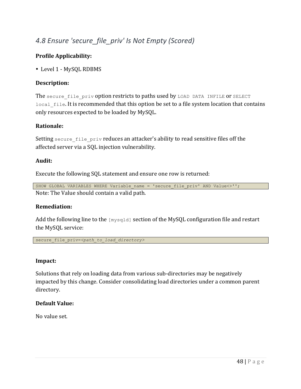# *4.8 Ensure 'secure\_file\_priv' Is Not Empty (Scored)*

# **Profile Applicability:**

• Level 1 - MySQL RDBMS

# **Description:**

The secure file priv option restricts to paths used by LOAD DATA INFILE OF SELECT local file. It is recommended that this option be set to a file system location that contains only resources expected to be loaded by MySQL.

## **Rationale:**

Setting secure file priv reduces an attacker's ability to read sensitive files off the affected server via a SOL injection vulnerability.

## **Audit:**

Execute the following SQL statement and ensure one row is returned:

SHOW GLOBAL VARIABLES WHERE Variable name = 'secure file priv' AND Value $\langle$ >''; Note: The Value should contain a valid path.

## **Remediation:**

Add the following line to the  $[mysq1d]$  section of the MySQL configuration file and restart the MySQL service:

secure file priv=<path to *load directory>* 

## **Impact:**

Solutions that rely on loading data from various sub-directories may be negatively impacted by this change. Consider consolidating load directories under a common parent directory.

# **Default Value:**

No value set.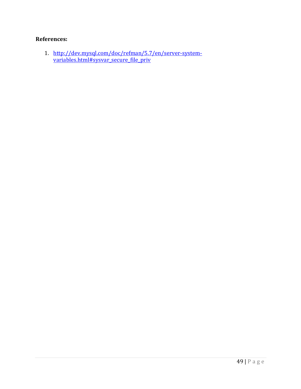# **References:**

1. http://dev.mysql.com/doc/refman/5.7/en/server-systemvariables.html#sysvar\_secure\_file\_priv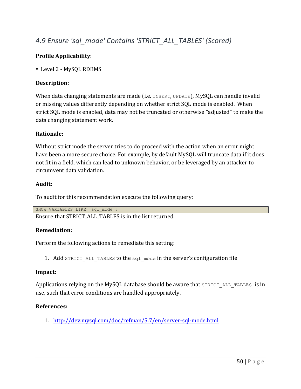# *4.9 Ensure 'sql\_mode' Contains 'STRICT\_ALL\_TABLES' (Scored)*

# **Profile Applicability:**

• Level 2 - MySQL RDBMS

## **Description:**

When data changing statements are made (i.e. INSERT, UPDATE), MySQL can handle invalid or missing values differently depending on whether strict SQL mode is enabled. When strict SQL mode is enabled, data may not be truncated or otherwise "adjusted" to make the data changing statement work.

# **Rationale:**

Without strict mode the server tries to do proceed with the action when an error might have been a more secure choice. For example, by default MySQL will truncate data if it does not fit in a field, which can lead to unknown behavior, or be leveraged by an attacker to circumvent data validation.

## **Audit:**

To audit for this recommendation execute the following query:

SHOW VARIABLES LIKE 'sql\_mode';

Ensure that STRICT\_ALL\_TABLES is in the list returned.

# **Remediation:**

Perform the following actions to remediate this setting:

1. Add STRICT ALL TABLES to the sql mode in the server's configuration file

## **Impact:**

Applications relying on the MySQL database should be aware that  $STRICT$  ALL TABLES is in use, such that error conditions are handled appropriately.

# **References:**

1. http://dev.mysql.com/doc/refman/5.7/en/server-sql-mode.html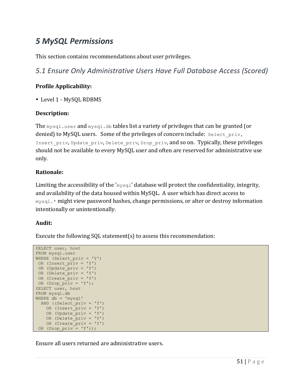# *5 MySQL Permissions*

This section contains recommendations about user privileges.

*5.1 Ensure Only Administrative Users Have Full Database Access (Scored)*

# **Profile Applicability:**

• Level 1 - MySOL RDBMS

# **Description:**

The  $m_{\text{vsdl}}$ , user and  $m_{\text{vsdl}}$ , db tables list a variety of privileges that can be granted (or denied) to MySQL users. Some of the privileges of concern include:  $\text{Select}$  priv, Insert priv, Update priv, Delete priv, Drop priv, and so on. Typically, these privileges should not be available to every MySQL user and often are reserved for administrative use only.

# **Rationale:**

Limiting the accessibility of the ' $m\text{vsq1}$ ' database will protect the confidentiality, integrity, and availability of the data housed within MySQL. A user which has direct access to  $mysq1.*$  might view password hashes, change permissions, or alter or destroy information intentionally or unintentionally.

# **Audit:**

Execute the following  $SQL$  statement $(s)$  to assess this recommendation:

```
SELECT user, host 
FROM mysql.user 
WHERE (Select priv = 'Y')OR (Insert_priv = 'Y') 
OR (Update priv = 'Y')OR (Delete priv = 'Y')
OR (Create_priv = 'Y') 
OR (Drop_priv = 'Y');
SELECT user, host 
FROM mysql.db 
WHERE db = 'mysql'AND ((Select priv = 'Y') OR (Insert_priv = 'Y') 
    OR (Update_priv = 'Y') 
    OR (Delete_priv = 'Y') 
   OR (Create \overline{priv} = 'Y')OR (Drop priv = 'Y'));
```
Ensure all users returned are administrative users.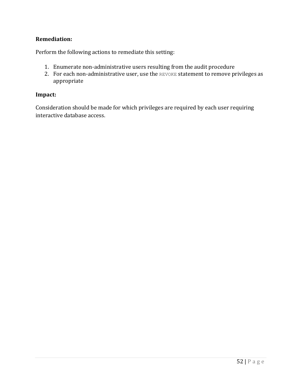# **Remediation:**

Perform the following actions to remediate this setting:

- 1. Enumerate non-administrative users resulting from the audit procedure
- 2. For each non-administrative user, use the REVOKE statement to remove privileges as appropriate

# **Impact:**

Consideration should be made for which privileges are required by each user requiring interactive database access.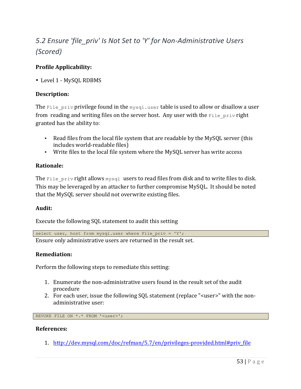# *5.2 Ensure 'file\_priv' Is Not Set to 'Y' for Non-Administrative Users (Scored)*

# **Profile Applicability:**

• Level 1 - MySOL RDBMS

# **Description:**

The File priv privilege found in the  $mysql$ .user table is used to allow or disallow a user from reading and writing files on the server host. Any user with the  $\text{File } \text{priv } \text{right}$ granted has the ability to:

- Read files from the local file system that are readable by the MySQL server (this includes world-readable files)
- Write files to the local file system where the MySQL server has write access

# **Rationale:**

The File priv right allows  $mysq1$  users to read files from disk and to write files to disk. This may be leveraged by an attacker to further compromise MySQL. It should be noted that the MySQL server should not overwrite existing files.

## **Audit:**

Execute the following SQL statement to audit this setting

select user, host from mysql.user where File priv = 'Y';

Ensure only administrative users are returned in the result set.

## **Remediation:**

Perform the following steps to remediate this setting:

- 1. Enumerate the non-administrative users found in the result set of the audit procedure
- 2. For each user, issue the following SQL statement (replace "<user>" with the nonadministrative user:

REVOKE FILE ON \*.\* FROM '<user>';

#### **References:**

1. http://dev.mysql.com/doc/refman/5.7/en/privileges-provided.html#priv\_file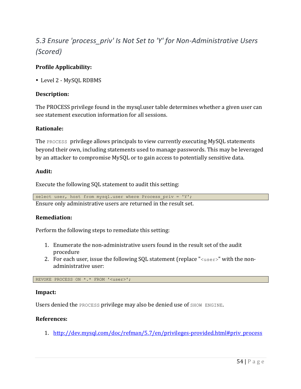# 5.3 Ensure 'process\_priv' Is Not Set to 'Y' for Non-Administrative Users *(Scored)*

# **Profile Applicability:**

• Level 2 - MySQL RDBMS

# **Description:**

The PROCESS privilege found in the mysqluser table determines whether a given user can see statement execution information for all sessions.

## **Rationale:**

The PROCESS privilege allows principals to view currently executing MySQL statements beyond their own, including statements used to manage passwords. This may be leveraged by an attacker to compromise MySQL or to gain access to potentially sensitive data.

# **Audit:**

Execute the following SQL statement to audit this setting:

select user, host from mysql.user where Process priv = 'Y';

Ensure only administrative users are returned in the result set.

## **Remediation:**

Perform the following steps to remediate this setting:

- 1. Enumerate the non-administrative users found in the result set of the audit procedure
- 2. For each user, issue the following SQL statement (replace " $\langle$ user $\rangle$ " with the nonadministrative user:

REVOKE PROCESS ON \*.\* FROM '<user>';

#### **Impact:**

Users denied the PROCESS privilege may also be denied use of SHOW ENGINE.

## **References:**

1. http://dev.mysql.com/doc/refman/5.7/en/privileges-provided.html#priv\_process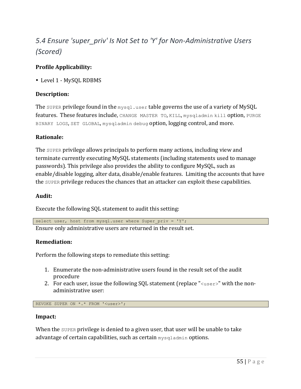# *5.4 Ensure 'super\_priv' Is Not Set to 'Y' for Non-Administrative Users (Scored)*

# **Profile Applicability:**

• Level 1 - MySOL RDBMS

# **Description:**

The super privilege found in the  $mysq1.$ user table governs the use of a variety of MySQL features. These features include, CHANGE MASTER TO, KILL, mysqladmin kill option, PURGE BINARY LOGS, SET GLOBAL, mysqladmin debug option, logging control, and more.

# **Rationale:**

The SUPER privilege allows principals to perform many actions, including view and terminate currently executing MySQL statements (including statements used to manage passwords). This privilege also provides the ability to configure  $M_ySQL$ , such as enable/disable logging, alter data, disable/enable features. Limiting the accounts that have the SUPER privilege reduces the chances that an attacker can exploit these capabilities.

# **Audit:**

Execute the following SQL statement to audit this setting:

select user, host from mysql.user where Super priv =  $'Y'$ ; Ensure only administrative users are returned in the result set.

# **Remediation:**

Perform the following steps to remediate this setting:

- 1. Enumerate the non-administrative users found in the result set of the audit procedure
- 2. For each user, issue the following SQL statement (replace " $\langle$ user $\rangle$ " with the nonadministrative user:

REVOKE SUPER ON \*.\* FROM '<user>';

#### **Impact:**

When the SUPER privilege is denied to a given user, that user will be unable to take advantage of certain capabilities, such as certain mysqladmin options.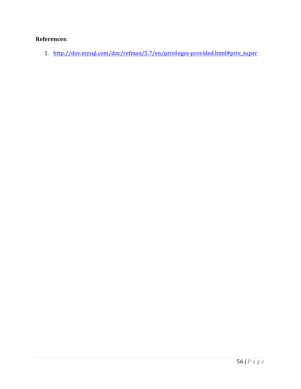# **References:**

1. http://dev.mysql.com/doc/refman/5.7/en/privileges-provided.html#priv\_super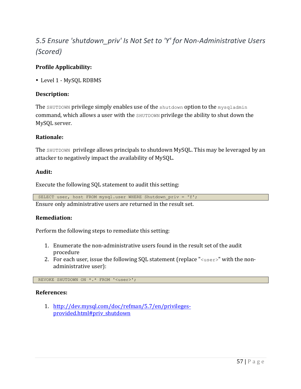# *5.5 Ensure 'shutdown\_priv' Is Not Set to 'Y' for Non-Administrative Users (Scored)*

# **Profile Applicability:**

• Level 1 - MySQL RDBMS

# **Description:**

The SHUTDOWN privilege simply enables use of the shutdown option to the mysqladmin command, which allows a user with the SHUTDOWN privilege the ability to shut down the MySQL server.

## **Rationale:**

The SHUTDOWN privilege allows principals to shutdown MySQL. This may be leveraged by an attacker to negatively impact the availability of MySQL.

## **Audit:**

Execute the following SQL statement to audit this setting:

SELECT user, host FROM mysql.user WHERE Shutdown priv = 'Y';

Ensure only administrative users are returned in the result set.

## **Remediation:**

Perform the following steps to remediate this setting:

- 1. Enumerate the non-administrative users found in the result set of the audit procedure
- 2. For each user, issue the following SQL statement (replace " $\langle$ user $\rangle$ " with the nonadministrative user):

REVOKE SHUTDOWN ON \*.\* FROM '<user>';

## **References:**

1. http://dev.mysql.com/doc/refman/5.7/en/privilegesprovided.html#priv\_shutdown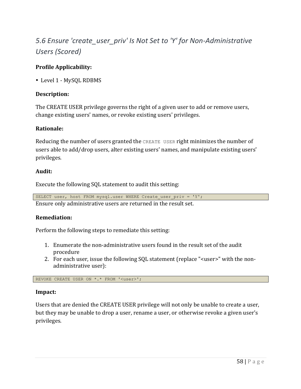# *5.6* Ensure 'create user priv' Is Not Set to 'Y' for Non-Administrative *Users (Scored)*

# **Profile Applicability:**

• Level 1 - MySQL RDBMS

# **Description:**

The CREATE USER privilege governs the right of a given user to add or remove users, change existing users' names, or revoke existing users' privileges.

## **Rationale:**

Reducing the number of users granted the CREATE USER right minimizes the number of users able to add/drop users, alter existing users' names, and manipulate existing users' privileges.

# **Audit:**

Execute the following SQL statement to audit this setting:

|  | SELECT user, host FROM mysql.user WHERE Create_user_priv = 'Y'; |  |  |
|--|-----------------------------------------------------------------|--|--|
|  |                                                                 |  |  |

Ensure only administrative users are returned in the result set.

## **Remediation:**

Perform the following steps to remediate this setting:

- 1. Enumerate the non-administrative users found in the result set of the audit procedure
- 2. For each user, issue the following SQL statement (replace "<user>" with the nonadministrative user):

REVOKE CREATE USER ON \*.\* FROM '<user>';

## **Impact:**

Users that are denied the CREATE USER privilege will not only be unable to create a user, but they may be unable to drop a user, rename a user, or otherwise revoke a given user's privileges.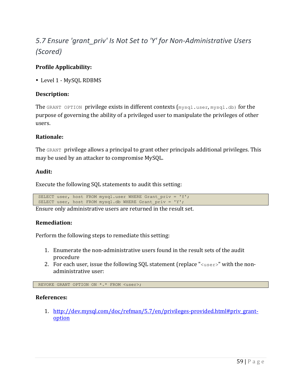# *5.7* Ensure 'grant priv' Is Not Set to 'Y' for Non-Administrative Users *(Scored)*

# **Profile Applicability:**

• Level 1 - MySOL RDBMS

# **Description:**

The GRANT OPTION privilege exists in different contexts  ${\rm [mysq1.user,mysq1.db)}$  for the purpose of governing the ability of a privileged user to manipulate the privileges of other users.

## **Rationale:**

The GRANT privilege allows a principal to grant other principals additional privileges. This may be used by an attacker to compromise MySQL.

# **Audit:**

Execute the following SQL statements to audit this setting:

SELECT user, host FROM mysql.user WHERE Grant priv = 'Y'; SELECT user, host FROM mysql.db WHERE Grant  $\overline{p}$ riv = 'Y';

Ensure only administrative users are returned in the result set.

# **Remediation:**

Perform the following steps to remediate this setting:

- 1. Enumerate the non-administrative users found in the result sets of the audit procedure
- 2. For each user, issue the following SQL statement (replace " $\langle$ user $\rangle$ " with the nonadministrative user:

REVOKE GRANT OPTION ON \*.\* FROM <user>;

## **References:**

1. http://dev.mysql.com/doc/refman/5.7/en/privileges-provided.html#priv\_grantoption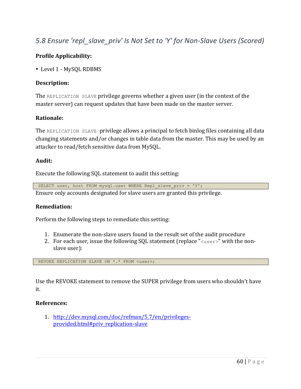# *5.8* Ensure 'repl\_slave\_priv' Is Not Set to 'Y' for Non-Slave Users (Scored)

# **Profile Applicability:**

• Level 1 - MySOL RDBMS

#### **Description:**

The REPLICATION SLAVE privilege governs whether a given user (in the context of the master server) can request updates that have been made on the master server.

#### **Rationale:**

The REPLICATION SLAVE privilege allows a principal to fetch binlog files containing all data changing statements and/or changes in table data from the master. This may be used by an attacker to read/fetch sensitive data from MySQL.

#### **Audit:**

Execute the following SQL statement to audit this setting:

SELECT user, host FROM mysql.user WHERE Repl\_slave\_priv = 'Y'; Ensure only accounts designated for slave users are granted this privilege.

#### **Remediation:**

Perform the following steps to remediate this setting:

- 1. Enumerate the non-slave users found in the result set of the audit procedure
- 2. For each user, issue the following SQL statement (replace " $\langle$ user $\rangle$ " with the nonslave user):

REVOKE REPLICATION SLAVE ON \*.\* FROM <user>;

Use the REVOKE statement to remove the SUPER privilege from users who shouldn't have it.

#### **References:**

1. http://dev.mysql.com/doc/refman/5.7/en/privilegesprovided.html#priv\_replication-slave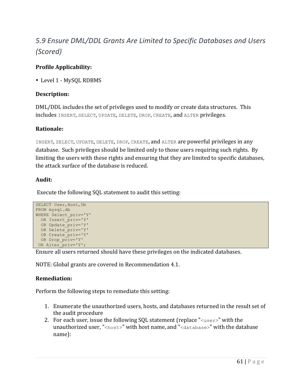# *5.9 Ensure DML/DDL Grants Are Limited to Specific Databases and Users (Scored)*

# **Profile Applicability:**

• Level 1 - MySOL RDBMS

# **Description:**

DML/DDL includes the set of privileges used to modify or create data structures. This includes INSERT, SELECT, UPDATE, DELETE, DROP, CREATE, and ALTER privileges.

# **Rationale:**

INSERT, SELECT, UPDATE, DELETE, DROP, CREATE, and ALTER are powerful privileges in any database. Such privileges should be limited only to those users requiring such rights. By limiting the users with these rights and ensuring that they are limited to specific databases, the attack surface of the database is reduced.

# **Audit:**

Execute the following SOL statement to audit this setting:

```
SELECT User, Host, Db
FROM mysql.db 
WHERE Select_priv='Y' 
  OR Insert_priv='Y' 
  OR Update_priv='Y' 
  OR Delete_priv='Y' 
 OR Create priv='Y'
 OR Drop priv='Y'
 OR Alter priv='Y';
```
Ensure all users returned should have these privileges on the indicated databases.

NOTE: Global grants are covered in Recommendation 4.1.

# **Remediation:**

Perform the following steps to remediate this setting:

- 1. Enumerate the unauthorized users, hosts, and databases returned in the result set of the audit procedure
- 2. For each user, issue the following SQL statement (replace " $\langle$ user $\rangle$ " with the unauthorized user, "<host>" with host name, and "<database>" with the database name):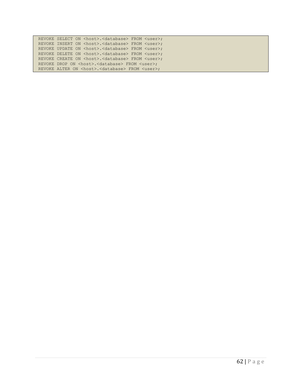| REVOKE SELECT ON <host>.<database> FROM <user>;</user></database></host> |
|--------------------------------------------------------------------------|
| REVOKE INSERT ON <host>.<database> FROM <user>;</user></database></host> |
| REVOKE UPDATE ON <host>.<database> FROM <user>;</user></database></host> |
| REVOKE DELETE ON <host>.<database> FROM <user>;</user></database></host> |
| REVOKE CREATE ON <host>.<database> FROM <user>;</user></database></host> |
| REVOKE DROP ON <host>.<database> FROM <user>;</user></database></host>   |
| REVOKE ALTER ON <host>.<database> FROM <user>;</user></database></host>  |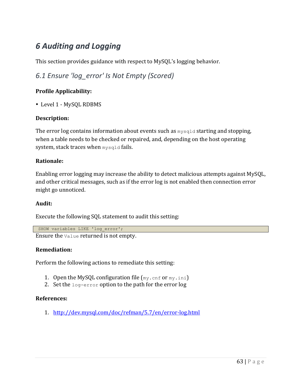# *6 Auditing and Logging*

This section provides guidance with respect to MySQL's logging behavior.

*6.1 Ensure 'log\_error' Is Not Empty (Scored)*

# **Profile Applicability:**

• Level 1 - MySQL RDBMS

# **Description:**

The error log contains information about events such as  $mysqld$  starting and stopping, when a table needs to be checked or repaired, and, depending on the host operating system, stack traces when mysqld fails.

## **Rationale:**

Enabling error logging may increase the ability to detect malicious attempts against MySQL, and other critical messages, such as if the error log is not enabled then connection error might go unnoticed.

## **Audit:**

Execute the following SQL statement to audit this setting:

SHOW variables LIKE 'log\_error';

Ensure the value returned is not empty.

## **Remediation:**

Perform the following actions to remediate this setting:

- 1. Open the MySQL configuration file  $(my, cnf$  or  $my, ini)$
- 2. Set the  $log-error$  option to the path for the error  $log$

## **References:**

1. http://dev.mysql.com/doc/refman/5.7/en/error-log.html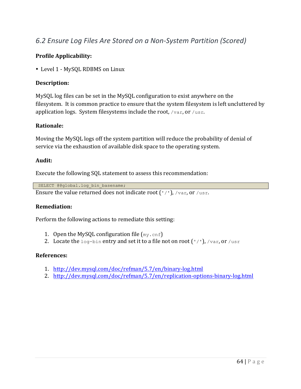# *6.2 Ensure Log Files Are Stored on a Non-System Partition (Scored)*

# **Profile Applicability:**

• Level 1 - MySQL RDBMS on Linux

## **Description:**

MySQL log files can be set in the MySQL configuration to exist anywhere on the filesystem. It is common practice to ensure that the system filesystem is left uncluttered by application logs. System filesystems include the root,  $/\text{var, or }/\text{usr.}$ 

# **Rationale:**

Moving the MySQL logs off the system partition will reduce the probability of denial of service via the exhaustion of available disk space to the operating system.

## **Audit:**

Execute the following SQL statement to assess this recommendation:

SELECT @@global.log bin basename;

Ensure the value returned does not indicate root  $('/')$ ,  $/\text{var, or }/\text{usr.}$ 

## **Remediation:**

Perform the following actions to remediate this setting:

- 1. Open the MySQL configuration file  $(my, cnf)$
- 2. Locate the  $log$ -bin entry and set it to a file not on root  $('/')$ ,  $/var$ , or  $/usr$

- 1. http://dev.mysql.com/doc/refman/5.7/en/binary-log.html
- 2. http://dev.mysql.com/doc/refman/5.7/en/replication-options-binary-log.html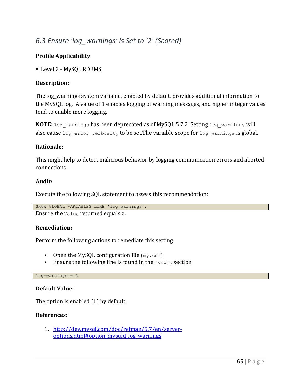# *6.3 Ensure 'log\_warnings' Is Set to '2' (Scored)*

# **Profile Applicability:**

• Level 2 - MySQL RDBMS

# **Description:**

The log\_warnings system variable, enabled by default, provides additional information to the MySQL log. A value of 1 enables logging of warning messages, and higher integer values tend to enable more logging.

**NOTE:** log warnings has been deprecated as of MySQL 5.7.2. Setting log warnings will also cause log error verbosity to be set. The variable scope for log warnings is global.

# **Rationale:**

This might help to detect malicious behavior by logging communication errors and aborted connections.

## **Audit:**

Execute the following SQL statement to assess this recommendation:

```
SHOW GLOBAL VARIABLES LIKE 'log_warnings';
```
Ensure the value returned equals 2.

## **Remediation:**

Perform the following actions to remediate this setting:

- Open the MySQL configuration file  $(my, cnf)$
- Ensure the following line is found in the  $mysqld$  section

## log-warnings = 2

## **Default Value:**

The option is enabled  $(1)$  by default.

## **References:**

1. http://dev.mysql.com/doc/refman/5.7/en/serveroptions.html#option\_mysqld\_log-warnings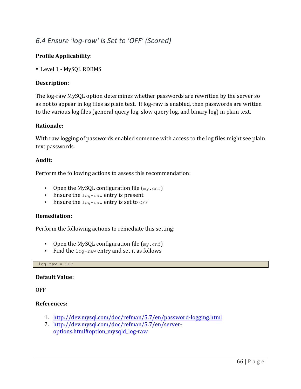# *6.4 Ensure 'log-raw' Is Set to 'OFF' (Scored)*

# **Profile Applicability:**

• Level 1 - MySQL RDBMS

## **Description:**

The log-raw MySQL option determines whether passwords are rewritten by the server so as not to appear in log files as plain text. If log-raw is enabled, then passwords are written to the various log files (general query log, slow query log, and binary log) in plain text.

## **Rationale:**

With raw logging of passwords enabled someone with access to the log files might see plain text passwords.

## **Audit:**

Perform the following actions to assess this recommendation:

- Open the MySQL configuration file  $(my, cnf)$
- Ensure the  $log-raw$  entry is present
- Ensure the  $log$ -raw entry is set to  $OFF$

## **Remediation:**

Perform the following actions to remediate this setting:

- Open the MySQL configuration file  $(my, cnf)$
- Find the  $log$ -raw entry and set it as follows

 $log-raw = OFF$ 

## **Default Value:**

**OFF** 

- 1. http://dev.mysql.com/doc/refman/5.7/en/password-logging.html
- 2. http://dev.mysql.com/doc/refman/5.7/en/serveroptions.html#option\_mysqld\_log-raw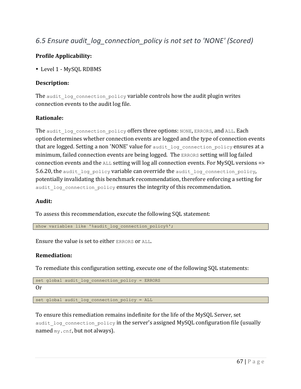# *6.5 Ensure audit\_log\_connection\_policy is not set to 'NONE' (Scored)*

# **Profile Applicability:**

• Level 1 - MySOL RDBMS

# **Description:**

The audit log connection policy variable controls how the audit plugin writes connection events to the audit log file.

# **Rationale:**

The audit log connection policy offers three options: NONE, ERRORS, and ALL. Each option determines whether connection events are logged and the type of connection events that are logged. Setting a non 'NONE' value for audit log connection policy ensures at a minimum, failed connection events are being logged. The ERRORS setting will log failed connection events and the  $ALL$  setting will log all connection events. For MySQL versions  $\Rightarrow$ 5.6.20, the audit log policy variable can override the audit log connection policy, potentially invalidating this benchmark recommendation, therefore enforcing a setting for audit log connection policy ensures the integrity of this recommendation.

## **Audit:**

To assess this recommendation, execute the following SOL statement:

show variables like '%audit\_log\_connection\_policy%';

Ensure the value is set to either ERRORS or ALL.

## **Remediation:**

To remediate this configuration setting, execute one of the following SQL statements:

```
set global audit log connection policy = ERRORS
```
Or

set global audit log connection policy = ALL

To ensure this remediation remains indefinite for the life of the MySQL Server, set audit log connection policy in the server's assigned MySQL configuration file (usually named  $my.config$ , but not always).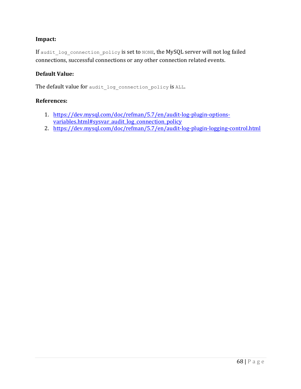# **Impact:**

If audit log connection policy is set to NONE, the MySQL server will not log failed connections, successful connections or any other connection related events.

## **Default Value:**

The default value for audit log connection policy is ALL.

- 1. https://dev.mysql.com/doc/refman/5.7/en/audit-log-plugin-optionsvariables.html#sysvar\_audit\_log\_connection\_policy
- 2. https://dev.mysql.com/doc/refman/5.7/en/audit-log-plugin-logging-control.html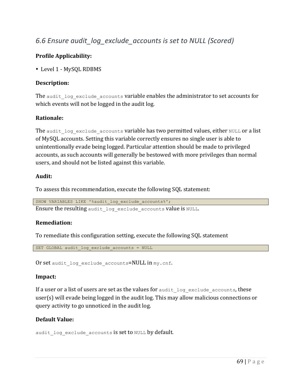# *6.6 Ensure audit\_log\_exclude\_accounts is set to NULL (Scored)*

# **Profile Applicability:**

• Level 1 - MySOL RDBMS

# **Description:**

The audit log exclude accounts variable enables the administrator to set accounts for which events will not be logged in the audit log.

# **Rationale:**

The audit log exclude accounts variable has two permitted values, either NULL or a list of MySQL accounts. Setting this variable correctly ensures no single user is able to unintentionally evade being logged. Particular attention should be made to privileged accounts, as such accounts will generally be bestowed with more privileges than normal users, and should not be listed against this variable.

## **Audit:**

To assess this recommendation, execute the following SQL statement:

SHOW VARIABLES LIKE '%audit log exclude accounts%'; Ensure the resulting audit log exclude accounts value is NULL.

## **Remediation:**

To remediate this configuration setting, execute the following SQL statement

SET GLOBAL audit log exclude accounts = NULL

Or set audit log exclude accounts=NULL in my.cnf.

## **Impact:**

If a user or a list of users are set as the values for audit log exclude accounts, these user(s) will evade being logged in the audit  $log$ . This may allow malicious connections or query activity to go unnoticed in the audit log.

## **Default Value:**

audit log exclude accounts is set to NULL by default.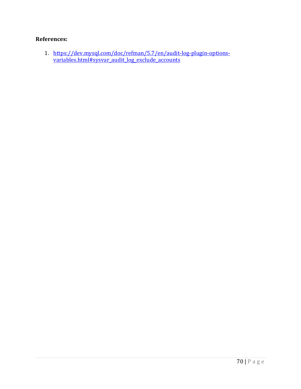# **References:**

1. https://dev.mysql.com/doc/refman/5.7/en/audit-log-plugin-optionsvariables.html#sysvar\_audit\_log\_exclude\_accounts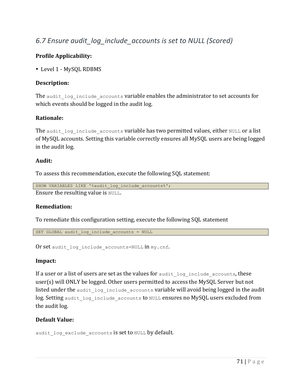# *6.7 Ensure audit\_log\_include\_accounts is set to NULL (Scored)*

# **Profile Applicability:**

• Level 1 - MySOL RDBMS

# **Description:**

The audit log include accounts variable enables the administrator to set accounts for which events should be logged in the audit log.

# **Rationale:**

The audit log include accounts variable has two permitted values, either NULL or a list of MySQL accounts. Setting this variable correctly ensures all MySQL users are being logged in the audit log.

## **Audit:**

To assess this recommendation, execute the following SQL statement:

```
SHOW VARIABLES LIKE '%audit log include accounts%';
Ensure the resulting value is NULL.
```
## **Remediation:**

To remediate this configuration setting, execute the following SOL statement

SET GLOBAL audit log include accounts = NULL

Or set audit log include accounts=NULL  $in$  my.cnf.

## **Impact:**

If a user or a list of users are set as the values for audit log include accounts, these user(s) will ONLY be logged. Other users permitted to access the MySQL Server but not listed under the audit log include accounts variable will avoid being logged in the audit log. Setting audit log include accounts to NULL ensures no MySQL users excluded from the audit log.

# **Default Value:**

audit log exclude accounts is set to NULL by default.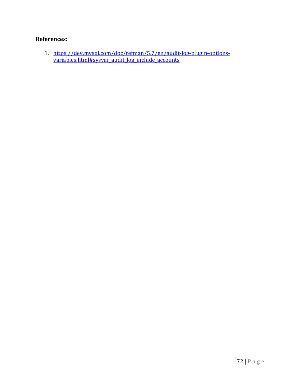#### **References:**

1. https://dev.mysql.com/doc/refman/5.7/en/audit-log-plugin-optionsvariables.html#sysvar\_audit\_log\_include\_accounts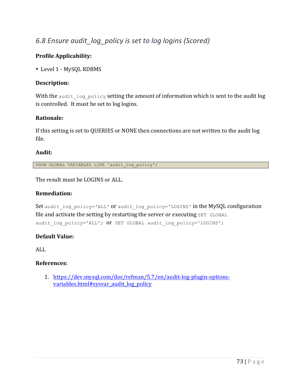# *6.8 Ensure audit\_log\_policy is set to log logins (Scored)*

#### **Profile Applicability:**

• Level 1 - MySQL RDBMS

#### **Description:**

With the audit  $log$  policy setting the amount of information which is sent to the audit  $log$ is controlled. It must be set to log logins.

#### **Rationale:**

If this setting is set to QUERIES or NONE then connections are not written to the audit log file.

#### **Audit:**

SHOW GLOBAL VARIABLES LIKE 'audit\_log\_policy';

The result must be LOGINS or ALL.

#### **Remediation:**

Set audit log policy='ALL' or audit log policy='LOGINS' in the MySQL configuration file and activate the setting by restarting the server or executing SET GLOBAL audit log policy='ALL'; OT SET GLOBAL audit log policy='LOGINS';

#### **Default Value:**

ALL

#### **References:**

1. https://dev.mysql.com/doc/refman/5.7/en/audit-log-plugin-optionsvariables.html#sysvar\_audit\_log\_policy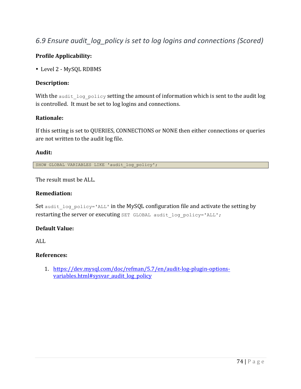### *6.9 Ensure audit\_log\_policy is set to log logins and connections (Scored)*

#### **Profile Applicability:**

• Level 2 - MySQL RDBMS

#### **Description:**

With the audit  $log$  policy setting the amount of information which is sent to the audit  $log$ is controlled. It must be set to log logins and connections.

#### **Rationale:**

If this setting is set to QUERIES, CONNECTIONS or NONE then either connections or queries are not written to the audit log file.

#### **Audit:**

SHOW GLOBAL VARIABLES LIKE 'audit\_log\_policy';

The result must be ALL.

#### **Remediation:**

Set audit log policy='ALL' in the MySQL configuration file and activate the setting by restarting the server or executing SET GLOBAL audit log policy='ALL';

#### **Default Value:**

ALL

#### **References:**

1. https://dev.mysql.com/doc/refman/5.7/en/audit-log-plugin-optionsvariables.html#sysvar\_audit\_log\_policy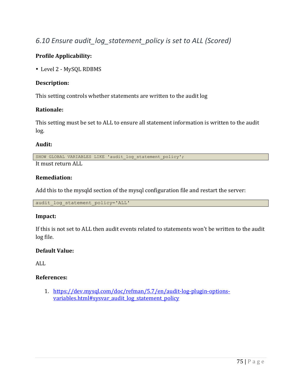# *6.10 Ensure audit\_log\_statement\_policy is set to ALL (Scored)*

#### **Profile Applicability:**

• Level 2 - MySQL RDBMS

#### **Description:**

This setting controls whether statements are written to the audit log

#### **Rationale:**

This setting must be set to ALL to ensure all statement information is written to the audit log.

#### **Audit:**

SHOW GLOBAL VARIABLES LIKE 'audit log statement policy';

It must return ALL

#### **Remediation:**

Add this to the mysqld section of the mysql configuration file and restart the server:

audit log statement policy='ALL'

#### **Impact:**

If this is not set to ALL then audit events related to statements won't be written to the audit log file.

#### **Default Value:**

ALL

#### **References:**

1. https://dev.mysql.com/doc/refman/5.7/en/audit-log-plugin-optionsvariables.html#sysvar\_audit\_log\_statement\_policy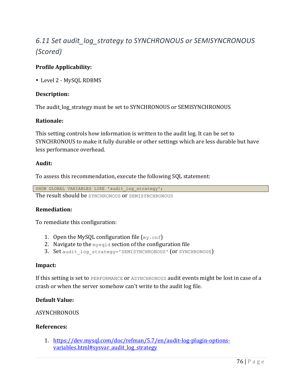# 6.11 Set audit log strategy to SYNCHRONOUS or SEMISYNCRONOUS *(Scored)*

#### **Profile Applicability:**

• Level 2 - MySQL RDBMS

#### **Description:**

The audit\_log\_strategy must be set to SYNCHRONOUS or SEMISYNCHRONOUS

#### **Rationale:**

This setting controls how information is written to the audit log. It can be set to SYNCHRONOUS to make it fully durable or other settings which are less durable but have less performance overhead.

#### **Audit:**

To assess this recommendation, execute the following SQL statement:

SHOW GLOBAL VARIABLES LIKE 'audit log strategy'; The result should be SYNCHRONOUS OF SEMISYNCHRONOUS

#### **Remediation:**

To remediate this configuration:

- 1. Open the MySQL configuration file  $(my, cnf)$
- 2. Navigate to the  $mvsqld$  section of the configuration file
- 3. Set audit log strategy='SEMISYNCHRONOUS' (Or SYNCHRONOUS)

#### **Impact:**

If this setting is set to PERFORMANCE OF ASYNCHRONOUS audit events might be lost in case of a crash or when the server somehow can't write to the audit log file.

#### **Default Value:**

#### **ASYNCHRONOUS**

#### **References:**

1. https://dev.mysql.com/doc/refman/5.7/en/audit-log-plugin-optionsvariables.html#sysvar\_audit\_log\_strategy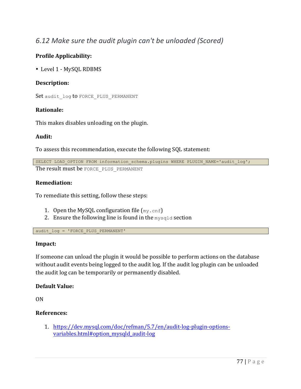### *6.12 Make sure the audit plugin can't be unloaded (Scored)*

#### **Profile Applicability:**

• Level 1 - MySQL RDBMS

#### **Description:**

Set audit log to FORCE PLUS PERMANENT

#### **Rationale:**

This makes disables unloading on the plugin.

#### **Audit:**

To assess this recommendation, execute the following SQL statement:

```
SELECT LOAD OPTION FROM information schema.plugins WHERE PLUGIN NAME='audit log';
The result must be FORCE PLUS PERMANENT
```
#### **Remediation:**

To remediate this setting, follow these steps:

- 1. Open the MySQL configuration file  $(my, cnf)$
- 2. Ensure the following line is found in the  $mysqld$  section

audit log = 'FORCE PLUS PERMANENT'

#### **Impact:**

If someone can unload the plugin it would be possible to perform actions on the database without audit events being logged to the audit log. If the audit log plugin can be unloaded the audit log can be temporarily or permanently disabled.

#### **Default Value:**

ON

#### **References:**

1. https://dev.mysql.com/doc/refman/5.7/en/audit-log-plugin-optionsvariables.html#option\_mysqld\_audit-log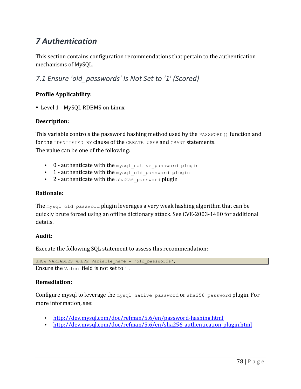# *7 Authentication*

This section contains configuration recommendations that pertain to the authentication mechanisms of MySOL.

*7.1 Ensure 'old\_passwords' Is Not Set to '1' (Scored)*

#### **Profile Applicability:**

• Level 1 - MySQL RDBMS on Linux

#### **Description:**

This variable controls the password hashing method used by the  $PASSWORD$  () function and for the IDENTIFIED BY clause of the CREATE USER and GRANT statements. The value can be one of the following:

- $\cdot$  0 authenticate with the mysql native password plugin
- 1-authenticate with the mysql old password plugin
- 2 authenticate with the  $sha256$  password plugin

#### **Rationale:**

The mysql\_old\_password plugin leverages a very weak hashing algorithm that can be quickly brute forced using an offline dictionary attack. See CVE-2003-1480 for additional details.

#### **Audit:**

Execute the following SQL statement to assess this recommendation:

SHOW VARIABLES WHERE Variable name = 'old passwords';

Ensure the value field is not set to  $1$ .

#### **Remediation:**

Configure mysql to leverage the mysql native password or sha256 password plugin. For more information, see:

- http://dev.mysql.com/doc/refman/5.6/en/password-hashing.html
- http://dev.mysql.com/doc/refman/5.6/en/sha256-authentication-plugin.html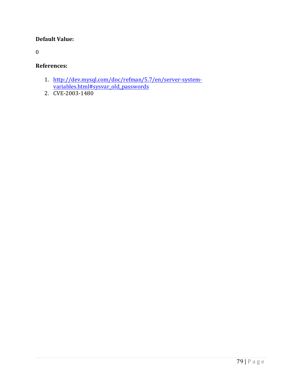#### **Default Value:**

0

#### **References:**

- 1. http://dev.mysql.com/doc/refman/5.7/en/server-systemvariables.html#sysvar\_old\_passwords
- 2. CVE-2003-1480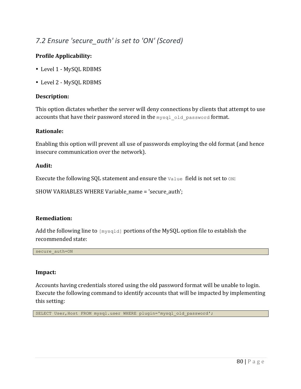# 7.2 Ensure 'secure auth' is set to 'ON' (Scored)

#### **Profile Applicability:**

- Level 1 MySQL RDBMS
- Level 2 MySQL RDBMS

#### **Description:**

This option dictates whether the server will deny connections by clients that attempt to use accounts that have their password stored in the mysql old password format.

#### **Rationale:**

Enabling this option will prevent all use of passwords employing the old format (and hence insecure communication over the network).

#### **Audit:**

Execute the following SQL statement and ensure the  $\text{Value}$  field is not set to  $\text{ON:}$ 

SHOW VARIABLES WHERE Variable\_name = 'secure\_auth';

#### **Remediation:**

Add the following line to  $[mysq1d]$  portions of the MySQL option file to establish the recommended state:

secure\_auth=ON

#### **Impact:**

Accounts having credentials stored using the old password format will be unable to login. Execute the following command to identify accounts that will be impacted by implementing this setting:

SELECT User,Host FROM mysql.user WHERE plugin='mysql\_old\_password';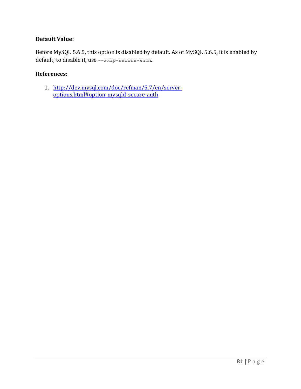#### **Default Value:**

Before MySQL 5.6.5, this option is disabled by default. As of MySQL 5.6.5, it is enabled by default; to disable it, use --skip-secure-auth.

#### **References:**

1. http://dev.mysql.com/doc/refman/5.7/en/serveroptions.html#option\_mysqld\_secure-auth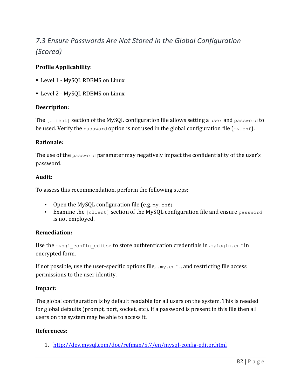# *7.3 Ensure Passwords Are Not Stored in the Global Configuration (Scored)*

#### **Profile Applicability:**

- Level 1 MySOL RDBMS on Linux
- Level 2 MySQL RDBMS on Linux

#### **Description:**

The  $[client]$  section of the MySQL configuration file allows setting a user and password to be used. Verify the password option is not used in the global configuration file  $(mv, cnf)$ .

#### **Rationale:**

The use of the  $_{\text{password}}$  parameter may negatively impact the confidentiality of the user's password.

#### **Audit:**

To assess this recommendation, perform the following steps:

- Open the MySQL configuration file  $(e.g._{mv},_{cnf})$
- Examine the [client] section of the MySQL configuration file and ensure password is not employed.

#### **Remediation:**

Use the mysql\_config\_editor to store authtentication credentials in  $mylogin.cnf$  in encrypted form.

If not possible, use the user-specific options file,  $\mu$ ,  $\mu$ ,  $\sigma$ ,  $f$ , and restricting file access permissions to the user identity.

#### **Impact:**

The global configuration is by default readable for all users on the system. This is needed for global defaults (prompt, port, socket, etc). If a password is present in this file then all users on the system may be able to access it.

#### **References:**

1. http://dev.mysql.com/doc/refman/5.7/en/mysql-config-editor.html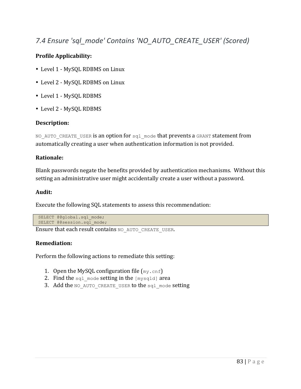# *7.4 Ensure 'sql\_mode' Contains 'NO\_AUTO\_CREATE\_USER' (Scored)*

#### **Profile Applicability:**

- Level 1 MySQL RDBMS on Linux
- Level 2 MySQL RDBMS on Linux
- Level 1 MySQL RDBMS
- Level 2 MySQL RDBMS

#### **Description:**

NO AUTO CREATE USER is an option for sql\_mode that prevents a GRANT statement from automatically creating a user when authentication information is not provided.

#### **Rationale:**

Blank passwords negate the benefits provided by authentication mechanisms. Without this setting an administrative user might accidentally create a user without a password.

#### **Audit:**

Execute the following SQL statements to assess this recommendation:

```
SELECT @@qlobal.sql mode;
SELECT @@session.sql mode;
```
Ensure that each result contains NO AUTO CREATE USER.

#### **Remediation:**

Perform the following actions to remediate this setting:

- 1. Open the MySQL configuration file  $(my, cnf)$
- 2. Find the  $\text{sgl}$  mode setting in the [mysqld] area
- 3. Add the NO AUTO CREATE USER to the  $sq1$  mode setting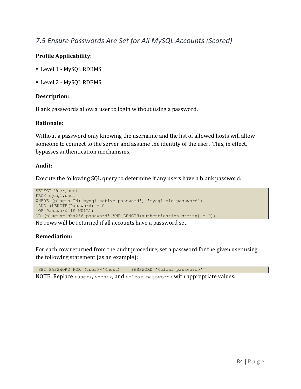### *7.5 Ensure Passwords Are Set for All MySQL Accounts (Scored)*

#### **Profile Applicability:**

- Level 1 MySOL RDBMS
- Level 2 MySQL RDBMS

#### **Description:**

Blank passwords allow a user to login without using a password.

#### **Rationale:**

Without a password only knowing the username and the list of allowed hosts will allow someone to connect to the server and assume the identity of the user. This, in effect, bypasses authentication mechanisms.

#### **Audit:**

Execute the following SQL query to determine if any users have a blank password:

```
SELECT User, host
FROM mysql.user 
WHERE (plugin IN('mysql native password', 'mysql old password')
AND (LENGTH(Password) = 0 
OR Password IS NULL))
OR (plugin='sha256 password' AND LENGTH(authentication string) = 0);
```
No rows will be returned if all accounts have a password set.

#### **Remediation:**

For each row returned from the audit procedure, set a password for the given user using the following statement  $(as an example):$ 

SET PASSWORD FOR <user>@'<host>' = PASSWORD('<clear password>') NOTE: Replace  $\langle$ user>, $\langle$ host>, and  $\langle$ clear password> with appropriate values.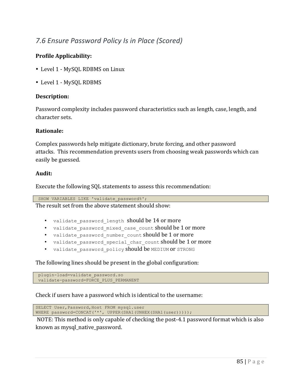# *7.6 Ensure Password Policy Is in Place (Scored)*

#### **Profile Applicability:**

- Level 1 MySQL RDBMS on Linux
- Level 1 MySQL RDBMS

#### **Description:**

Password complexity includes password characteristics such as length, case, length, and character sets.

#### **Rationale:**

Complex passwords help mitigate dictionary, brute forcing, and other password attacks. This recommendation prevents users from choosing weak passwords which can easily be guessed.

#### **Audit:**

Execute the following SQL statements to assess this recommendation:

SHOW VARIABLES LIKE 'validate password%';

The result set from the above statement should show:

- validate password length should be 14 or more
- validate password mixed case count should be 1 or more
- validate password number count should be 1 or more
- validate password special char count should be 1 or more
- validate password policy should be MEDIUM OF STRONG

The following lines should be present in the global configuration:

```
plugin-load=validate_password.so
validate-password=FORCE_PLUS_PERMANENT
```
Check if users have a password which is identical to the username:

SELECT User, Password, Host FROM mysql.user WHERE password=CONCAT('\*', UPPER(SHA1(UNHEX(SHA1(user)))));

NOTE: This method is only capable of checking the post-4.1 password format which is also known as mysql native password.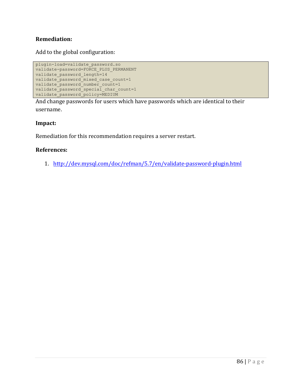#### **Remediation:**

Add to the global configuration:

```
plugin-load=validate_password.so
validate-password=FORCE_PLUS_PERMANENT
validate password length=14
validate_password_mixed_case_count=1
validate_password_number_count=1
validate_password_special_char_count=1
validate_password_policy=MEDIUM
```
And change passwords for users which have passwords which are identical to their username.

#### **Impact:**

Remediation for this recommendation requires a server restart.

#### **References:**

1. http://dev.mysql.com/doc/refman/5.7/en/validate-password-plugin.html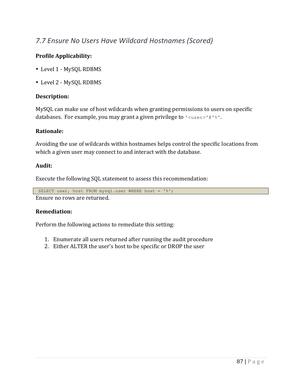# *7.7 Ensure No Users Have Wildcard Hostnames (Scored)*

#### **Profile Applicability:**

- Level 1 MySQL RDBMS
- Level 2 MySQL RDBMS

#### **Description:**

MySQL can make use of host wildcards when granting permissions to users on specific databases. For example, you may grant a given privilege to  $\lceil \cdot \text{user} \rceil \cdot \lceil \cdot \rceil \cdot \rceil$ .

#### **Rationale:**

Avoiding the use of wildcards within hostnames helps control the specific locations from which a given user may connect to and interact with the database.

#### **Audit:**

Execute the following SQL statement to assess this recommendation:

```
SELECT user, host FROM mysql.user WHERE host = '%';
```
Ensure no rows are returned.

#### **Remediation:**

Perform the following actions to remediate this setting:

- 1. Enumerate all users returned after running the audit procedure
- 2. Either ALTER the user's host to be specific or DROP the user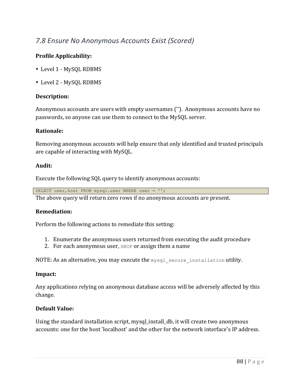### *7.8 Ensure No Anonymous Accounts Exist (Scored)*

#### **Profile Applicability:**

- Level 1 MySOL RDBMS
- Level 2 MySQL RDBMS

#### **Description:**

Anonymous accounts are users with empty usernames ("). Anonymous accounts have no passwords, so anyone can use them to connect to the MySQL server.

#### **Rationale:**

Removing anonymous accounts will help ensure that only identified and trusted principals are capable of interacting with MySQL.

#### **Audit:**

Execute the following SQL query to identify anonymous accounts:

SELECT user,host FROM mysql.user WHERE user = '';

The above query will return zero rows if no anonymous accounts are present.

#### **Remediation:**

Perform the following actions to remediate this setting:

- 1. Enumerate the anonymous users returned from executing the audit procedure
- 2. For each anonymous user,  $DROP$  or assign them a name

NOTE: As an alternative, you may execute the  $mysgl$  secure installation utility.

#### **Impact:**

Any applications relying on anonymous database access will be adversely affected by this change.

#### **Default Value:**

Using the standard installation script, mysql\_install\_db, it will create two anonymous accounts: one for the host 'localhost' and the other for the network interface's IP address.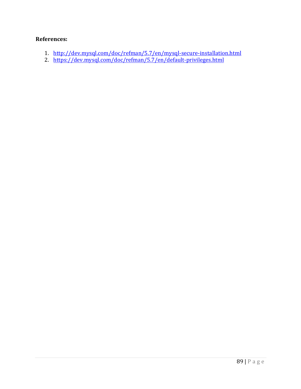#### **References:**

- 1. http://dev.mysql.com/doc/refman/5.7/en/mysql-secure-installation.html
- 2. https://dev.mysql.com/doc/refman/5.7/en/default-privileges.html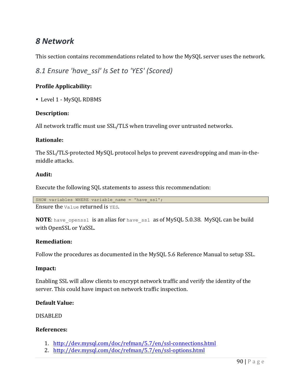# *8 Network*

This section contains recommendations related to how the MySQL server uses the network.

*8.1 Ensure 'have\_ssl' Is Set to 'YES' (Scored)*

#### **Profile Applicability:**

• Level 1 - MySQL RDBMS

#### **Description:**

All network traffic must use SSL/TLS when traveling over untrusted networks.

#### **Rationale:**

The SSL/TLS-protected MySQL protocol helps to prevent eavesdropping and man-in-themiddle attacks.

#### **Audit:**

Execute the following SQL statements to assess this recommendation:

SHOW variables WHERE variable name = 'have ssl';

Ensure the  $Value$  returned is  $YES$ .

**NOTE:** have openssl is an alias for have ssl as of MySQL 5.0.38. MySQL can be build with OpenSSL or YaSSL.

#### **Remediation:**

Follow the procedures as documented in the MySQL 5.6 Reference Manual to setup SSL.

#### **Impact:**

Enabling SSL will allow clients to encrypt network traffic and verify the identity of the server. This could have impact on network traffic inspection.

#### **Default Value:**

DISABLED

#### **References:**

- 1. http://dev.mysql.com/doc/refman/5.7/en/ssl-connections.html
- 2. http://dev.mysql.com/doc/refman/5.7/en/ssl-options.html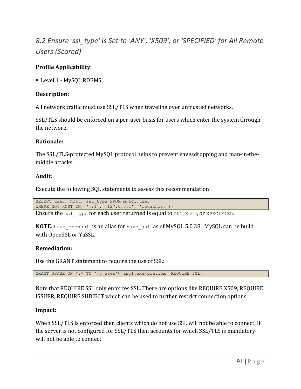# *8.2 Ensure 'ssl\_type' Is Set to 'ANY', 'X509', or 'SPECIFIED' for All Remote Users (Scored)*

#### **Profile Applicability:**

• Level 1 - MySOL RDBMS

#### **Description:**

All network traffic must use SSL/TLS when traveling over untrusted networks.

SSL/TLS should be enforced on a per-user basis for users which enter the system through the network.

#### **Rationale:**

The SSL/TLS-protected MySQL protocol helps to prevent eavesdropping and man-in-themiddle attacks.

#### **Audit:**

Execute the following SQL statements to assess this recommendation:

SELECT user, host, ssl type FROM mysql.user WHERE NOT HOST IN  $('::\overline{1}', '127.0.0.1', 'localhost');$ 

Ensure the  $ssl$  type for each user returned is equal to  $ANY$ , X509, or SPECIFIED.

**NOTE:** have openssl is an alias for have ssl as of MySQL 5.0.38. MySQL can be build with OpenSSL or YaSSL.

#### **Remediation:**

Use the GRANT statement to require the use of SSL:

GRANT USAGE ON \*.\* TO 'my user'@'app1.example.com' REQUIRE SSL;

Note that REQUIRE SSL only enforces SSL. There are options like REQUIRE X509, REQUIRE ISSUER, REQUIRE SUBJECT which can be used to further restrict connection options.

#### **Impact:**

When SSL/TLS is enforced then clients which do not use SSL will not be able to connect. If the server is not configured for SSL/TLS then accounts for which SSL/TLS is mandatory will not be able to connect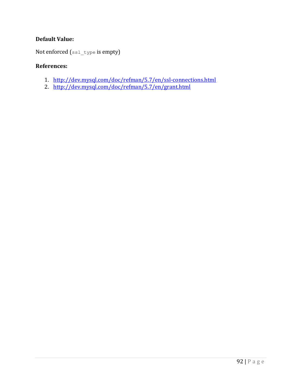#### **Default Value:**

Not enforced  $(s_{s1_t}$ type is empty)

#### **References:**

- 1. http://dev.mysql.com/doc/refman/5.7/en/ssl-connections.html
- 2. http://dev.mysql.com/doc/refman/5.7/en/grant.html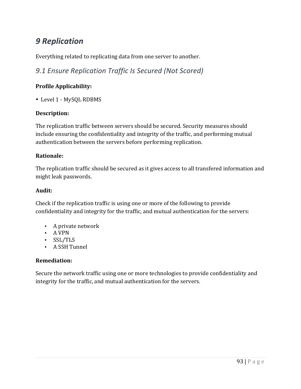# *9 Replication*

Everything related to replicating data from one server to another.

*9.1 Ensure Replication Traffic Is Secured (Not Scored)*

#### **Profile Applicability:**

• Level 1 - MySQL RDBMS

#### **Description:**

The replication traffic between servers should be secured. Security measures should include ensuring the confidentiality and integrity of the traffic, and performing mutual authentication between the servers before performing replication.

#### **Rationale:**

The replication traffic should be secured as it gives access to all transfered information and might leak passwords.

#### **Audit:**

Check if the replication traffic is using one or more of the following to provide confidentiality and integrity for the traffic, and mutual authentication for the servers:

- A private network
- A VPN
- SSL/TLS
- A SSH Tunnel

#### **Remediation:**

Secure the network traffic using one or more technologies to provide confidentiality and integrity for the traffic, and mutual authentication for the servers.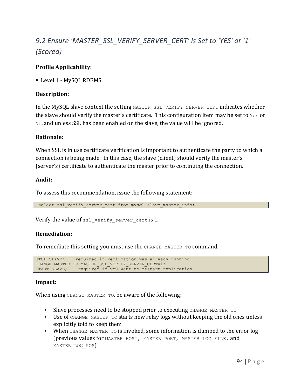# 9.2 Ensure 'MASTER\_SSL\_VERIFY\_SERVER\_CERT' Is Set to 'YES' or '1' *(Scored)*

#### **Profile Applicability:**

• Level 1 - MySOL RDBMS

#### **Description:**

In the MySQL slave context the setting MASTER SSL VERIFY SERVER CERT indicates whether the slave should verify the master's certificate. This configuration item may be set to  $Yest$  or  $N$  $\circ$ , and unless SSL has been enabled on the slave, the value will be ignored.

#### **Rationale:**

When SSL is in use certificate verification is important to authenticate the party to which a connection is being made. In this case, the slave (client) should verify the master's (server's) certificate to authenticate the master prior to continuing the connection.

#### **Audit:**

To assess this recommendation, issue the following statement:

select ssl\_verify\_server cert from mysql.slave master info;

Verify the value of ssl verify server cert is 1.

#### **Remediation:**

To remediate this setting you must use the CHANGE MASTER TO command.

```
STOP SLAVE; -- required if replication was already running
CHANGE MASTER TO MASTER SSL VERIFY SERVER CERT=1;
START SLAVE; -- required if you want to restart replication
```
#### **Impact:**

When using CHANGE MASTER TO, be aware of the following:

- Slave processes need to be stopped prior to executing CHANGE MASTER TO
- Use of CHANGE MASTER TO starts new relay logs without keeping the old ones unless explicitly told to keep them
- When CHANGE MASTER TO is invoked, some information is dumped to the error log (previous values for MASTER\_HOST, MASTER\_PORT, MASTER\_LOG\_FILE, and MASTER LOG POS)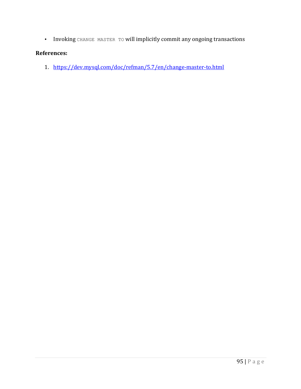• Invoking CHANGE MASTER TO will implicitly commit any ongoing transactions

#### **References:**

1. https://dev.mysql.com/doc/refman/5.7/en/change-master-to.html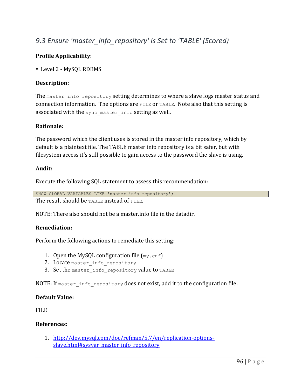# 9.3 Ensure 'master\_info\_repository' Is Set to 'TABLE' (Scored)

#### **Profile Applicability:**

• Level 2 - MySOL RDBMS

#### **Description:**

The master info repository setting determines to where a slave logs master status and connection information. The options are  $FILE$  or TABLE. Note also that this setting is associated with the sync master info setting as well.

#### **Rationale:**

The password which the client uses is stored in the master info repository, which by default is a plaintext file. The TABLE master info repository is a bit safer, but with filesystem access it's still possible to gain access to the password the slave is using.

#### **Audit:**

Execute the following SQL statement to assess this recommendation:

```
SHOW GLOBAL VARIABLES LIKE 'master info_repository';
The result should be TABLE instead of FILE.
```
NOTE: There also should not be a master info file in the datadir.

#### **Remediation:**

Perform the following actions to remediate this setting:

- 1. Open the MySQL configuration file  $(mv, cnf)$
- 2. Locate master info repository
- 3. Set the master info repository value to TABLE

NOTE: If master info repository does not exist, add it to the configuration file.

#### **Default Value:**

FILE

#### **References:**

1. http://dev.mysql.com/doc/refman/5.7/en/replication-optionsslave.html#sysvar\_master\_info\_repository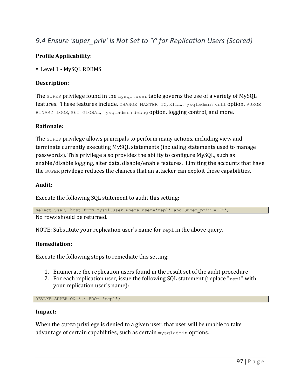# 9.4 Ensure 'super priv' Is Not Set to 'Y' for Replication Users (Scored)

#### **Profile Applicability:**

• Level 1 - MySOL RDBMS

#### **Description:**

The super privilege found in the  $m_{VSA}$ , user table governs the use of a variety of MySQL features. These features include, CHANGE MASTER TO, KILL, mysgladmin kill option, PURGE BINARY LOGS, SET GLOBAL, mysqladmin debug option, logging control, and more.

#### **Rationale:**

The super privilege allows principals to perform many actions, including view and terminate currently executing MySQL statements (including statements used to manage passwords). This privilege also provides the ability to configure MySQL, such as enable/disable logging, alter data, disable/enable features. Limiting the accounts that have the super privilege reduces the chances that an attacker can exploit these capabilities.

#### **Audit:**

Execute the following SQL statement to audit this setting:

select user, host from mysql.user where user='repl' and Super priv = 'Y';

No rows should be returned.

NOTE: Substitute your replication user's name for  $_{\text{rep1}}$  in the above query.

#### **Remediation:**

Execute the following steps to remediate this setting:

- 1. Enumerate the replication users found in the result set of the audit procedure
- 2. For each replication user, issue the following SOL statement (replace " $_{\text{repl}}$ " with your replication user's name):

REVOKE SUPER ON \*.\* FROM 'repl';

#### **Impact:**

When the super privilege is denied to a given user, that user will be unable to take advantage of certain capabilities, such as certain mysqladmin options.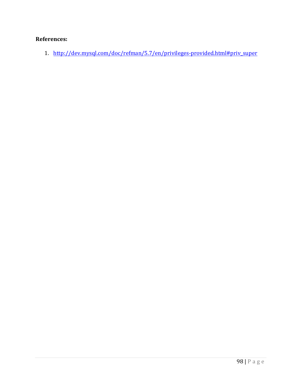### **References:**

1. http://dev.mysql.com/doc/refman/5.7/en/privileges-provided.html#priv\_super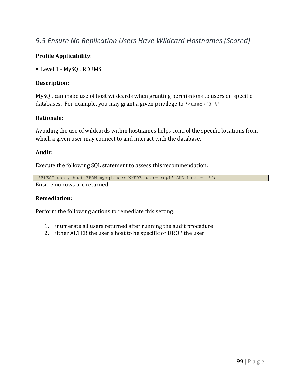### *9.5 Ensure No Replication Users Have Wildcard Hostnames (Scored)*

#### **Profile Applicability:**

• Level 1 - MySQL RDBMS

#### **Description:**

MySQL can make use of host wildcards when granting permissions to users on specific databases. For example, you may grant a given privilege to  $\lceil \cdot \text{user} \rceil \cdot \lceil \cdot \rceil \cdot \rceil$ .

#### **Rationale:**

Avoiding the use of wildcards within hostnames helps control the specific locations from which a given user may connect to and interact with the database.

#### **Audit:**

Execute the following SQL statement to assess this recommendation:

```
SELECT user, host FROM mysql.user WHERE user='repl' AND host = '%';
Ensure no rows are returned.
```
#### **Remediation:**

Perform the following actions to remediate this setting:

- 1. Enumerate all users returned after running the audit procedure
- 2. Either ALTER the user's host to be specific or DROP the user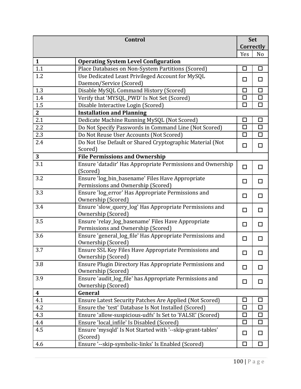|                  | Control                                                                                                                |              | <b>Set</b> |
|------------------|------------------------------------------------------------------------------------------------------------------------|--------------|------------|
|                  |                                                                                                                        | Correctly    |            |
|                  |                                                                                                                        | Yes          | No         |
| $\mathbf{1}$     | <b>Operating System Level Configuration</b>                                                                            |              |            |
| 1.1              | Place Databases on Non-System Partitions (Scored)                                                                      | П            | □          |
| 1.2              | Use Dedicated Least Privileged Account for MySQL                                                                       | □            | □          |
|                  | Daemon/Service (Scored)                                                                                                |              |            |
| 1.3              | Disable MySQL Command History (Scored)                                                                                 |              | П          |
| 1.4              | Verify that 'MYSQL_PWD' Is Not Set (Scored)                                                                            | $\Box$       | $\Box$     |
| 1.5              | Disable Interactive Login (Scored)                                                                                     | П            | $\Box$     |
| $\overline{2}$   | <b>Installation and Planning</b>                                                                                       |              |            |
| 2.1              | Dedicate Machine Running MySQL (Not Scored)                                                                            | $\mathsf{L}$ | □          |
| 2.2              | Do Not Specify Passwords in Command Line (Not Scored)                                                                  | $\Box$       | $\Box$     |
| 2.3              | Do Not Reuse User Accounts (Not Scored)                                                                                | $\Box$       | $\Box$     |
| 2.4              | Do Not Use Default or Shared Cryptographic Material (Not                                                               | □            | $\Box$     |
|                  | Scored)                                                                                                                |              |            |
| $\overline{3}$   | <b>File Permissions and Ownership</b>                                                                                  |              |            |
| 3.1              | Ensure 'datadir' Has Appropriate Permissions and Ownership                                                             | $\Box$       | $\Box$     |
|                  | (Scored)                                                                                                               |              |            |
| 3.2              | Ensure 'log_bin_basename' Files Have Appropriate                                                                       | □            | □          |
|                  | Permissions and Ownership (Scored)                                                                                     |              |            |
| 3.3              | Ensure 'log_error' Has Appropriate Permissions and                                                                     | □            | □          |
|                  | Ownership (Scored)                                                                                                     |              |            |
| 3.4              | Ensure 'slow_query_log' Has Appropriate Permissions and                                                                | □            | $\Box$     |
|                  | Ownership (Scored)                                                                                                     |              |            |
| 3.5              | Ensure 'relay_log_basename' Files Have Appropriate                                                                     | □            | $\Box$     |
|                  | Permissions and Ownership (Scored)                                                                                     |              |            |
| 3.6              | Ensure 'general_log_file' Has Appropriate Permissions and                                                              | □            | □          |
|                  | Ownership (Scored)                                                                                                     |              |            |
| 3.7              | Ensure SSL Key Files Have Appropriate Permissions and                                                                  | $\Box$       | ΙI         |
|                  | Ownership (Scored)                                                                                                     |              |            |
| 3.8              | Ensure Plugin Directory Has Appropriate Permissions and                                                                | □            | □          |
|                  | Ownership (Scored)                                                                                                     |              |            |
| 3.9              | Ensure 'audit_log_file' has Appropriate Permissions and<br>Ownership (Scored)                                          | □            | □          |
| $\boldsymbol{4}$ | General                                                                                                                |              |            |
| 4.1              |                                                                                                                        | Ш            | ப          |
| 4.2              | <b>Ensure Latest Security Patches Are Applied (Not Scored)</b><br>Ensure the 'test' Database Is Not Installed (Scored) | П            | □          |
| 4.3              |                                                                                                                        | П            | □          |
|                  | Ensure 'allow-suspicious-udfs' Is Set to 'FALSE' (Scored)                                                              | П            | $\Box$     |
| 4.4<br>4.5       | Ensure 'local_infile' Is Disabled (Scored)                                                                             |              |            |
|                  | Ensure 'mysqld' Is Not Started with '--skip-grant-tables'<br>(Scored)                                                  | □            | $\Box$     |
| 4.6              | Ensure '--skip-symbolic-links' Is Enabled (Scored)                                                                     | П            | □          |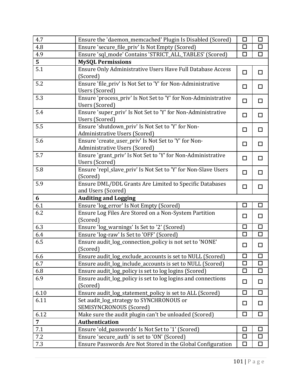| 4.7            | Ensure the 'daemon_memcached' Plugin Is Disabled (Scored)                      | □      | $\Box$ |
|----------------|--------------------------------------------------------------------------------|--------|--------|
| 4.8            | Ensure 'secure_file_priv' Is Not Empty (Scored)                                |        | $\Box$ |
| 4.9            | Ensure 'sql_mode' Contains 'STRICT_ALL_TABLES' (Scored)                        |        | $\Box$ |
| 5              | <b>MySQL Permissions</b>                                                       |        |        |
| 5.1            | Ensure Only Administrative Users Have Full Database Access                     | □      | □      |
|                | (Scored)                                                                       |        |        |
| 5.2            | Ensure 'file_priv' Is Not Set to 'Y' for Non-Administrative                    | □      | $\Box$ |
|                | Users (Scored)                                                                 |        |        |
| 5.3            | Ensure 'process_priv' Is Not Set to 'Y' for Non-Administrative                 | $\Box$ | $\Box$ |
|                | Users (Scored)                                                                 |        |        |
| 5.4            | Ensure 'super_priv' Is Not Set to 'Y' for Non-Administrative                   | □      | $\Box$ |
|                | Users (Scored)                                                                 |        |        |
| 5.5            | Ensure 'shutdown_priv' Is Not Set to 'Y' for Non-                              | $\Box$ | $\Box$ |
|                | Administrative Users (Scored)                                                  |        |        |
| 5.6            | Ensure 'create_user_priv' Is Not Set to 'Y' for Non-                           | □      | $\Box$ |
| 5.7            | Administrative Users (Scored)                                                  |        |        |
|                | Ensure 'grant_priv' Is Not Set to 'Y' for Non-Administrative<br>Users (Scored) | $\Box$ | $\Box$ |
| 5.8            | Ensure 'repl_slave_priv' Is Not Set to 'Y' for Non-Slave Users                 |        |        |
|                | (Scored)                                                                       | П      | □      |
| 5.9            | Ensure DML/DDL Grants Are Limited to Specific Databases                        |        |        |
|                | and Users (Scored)                                                             | $\Box$ | $\Box$ |
| 6              | <b>Auditing and Logging</b>                                                    |        |        |
| 6.1            | Ensure 'log_error' Is Not Empty (Scored)                                       | □      | $\Box$ |
| 6.2            | Ensure Log Files Are Stored on a Non-System Partition                          |        |        |
|                | (Scored)                                                                       | $\Box$ | $\Box$ |
| 6.3            | Ensure 'log_warnings' Is Set to '2' (Scored)                                   | П      | □      |
| 6.4            | Ensure 'log-raw' Is Set to 'OFF' (Scored)                                      | $\Box$ | $\Box$ |
| 6.5            | Ensure audit_log_connection_policy is not set to 'NONE'                        | □      | $\Box$ |
|                | (Scored)                                                                       |        |        |
| 6.6            | Ensure audit_log_exclude_accounts is set to NULL (Scored)                      | $\Box$ | $\Box$ |
| 6.7            | Ensure audit_log_include_accounts is set to NULL (Scored)                      | $\Box$ | $\Box$ |
| 6.8            | Ensure audit_log_policy is set to log logins (Scored)                          |        | □      |
| 6.9            | Ensure audit_log_policy is set to log logins and connections                   | □      | □      |
|                | (Scored)                                                                       |        |        |
| 6.10           | Ensure audit_log_statement_policy is set to ALL (Scored)                       | □      | $\Box$ |
| 6.11           | Set audit_log_strategy to SYNCHRONOUS or                                       | ◘      | $\Box$ |
|                | <b>SEMISYNCRONOUS (Scored)</b>                                                 |        |        |
| 6.12           | Make sure the audit plugin can't be unloaded (Scored)                          | П      | □      |
| $\overline{7}$ | <b>Authentication</b>                                                          |        |        |
| 7.1            | Ensure 'old_passwords' Is Not Set to '1' (Scored)                              | П      | $\Box$ |
| 7.2            | Ensure 'secure_auth' is set to 'ON' (Scored)                                   | H      | □      |
| 7.3            | Ensure Passwords Are Not Stored in the Global Configuration                    |        | $\Box$ |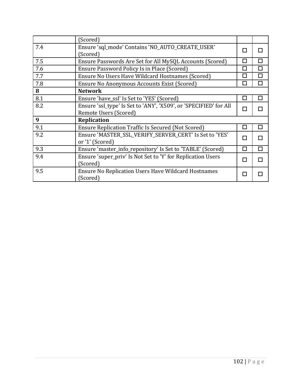|     | (Scored)                                                          |   |   |
|-----|-------------------------------------------------------------------|---|---|
| 7.4 | Ensure 'sql_mode' Contains 'NO_AUTO_CREATE_USER'                  |   | П |
|     | (Scored)                                                          |   |   |
| 7.5 | Ensure Passwords Are Set for All MySQL Accounts (Scored)          |   | П |
| 7.6 | Ensure Password Policy Is in Place (Scored)                       |   | П |
| 7.7 | Ensure No Users Have Wildcard Hostnames (Scored)                  |   | П |
| 7.8 | Ensure No Anonymous Accounts Exist (Scored)                       |   | П |
| 8   | <b>Network</b>                                                    |   |   |
| 8.1 | Ensure 'have_ssl' Is Set to 'YES' (Scored)                        |   | П |
| 8.2 | Ensure 'ssl_type' Is Set to 'ANY', 'X509', or 'SPECIFIED' for All |   |   |
|     | Remote Users (Scored)                                             |   |   |
| 9   | <b>Replication</b>                                                |   |   |
| 9.1 | <b>Ensure Replication Traffic Is Secured (Not Scored)</b>         |   | П |
| 9.2 | Ensure 'MASTER_SSL_VERIFY_SERVER_CERT' Is Set to 'YES'            |   |   |
|     | or '1' (Scored)                                                   |   |   |
| 9.3 | Ensure 'master_info_repository' Is Set to 'TABLE' (Scored)        | П | П |
| 9.4 | Ensure 'super_priv' Is Not Set to 'Y' for Replication Users       |   | П |
|     | (Scored)                                                          |   |   |
| 9.5 | <b>Ensure No Replication Users Have Wildcard Hostnames</b>        |   |   |
|     | (Scored)                                                          |   |   |